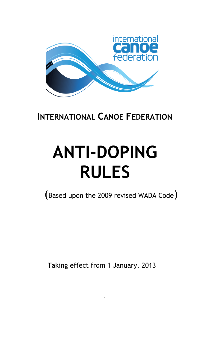

**INTERNATIONAL CANOE FEDERATION**

# **ANTI-DOPING RULES**

(Based upon the 2009 revised WADA Code)

Taking effect from 1 January, 2013

1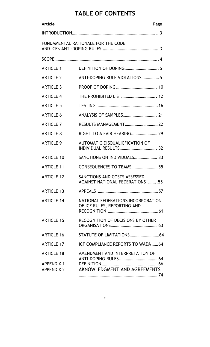# **TABLE OF CONTENTS**

| <b>Article</b>                     | Page                                                              |
|------------------------------------|-------------------------------------------------------------------|
|                                    |                                                                   |
| FUNDAMENTAL RATIONALE FOR THE CODE |                                                                   |
|                                    |                                                                   |
| <b>ARTICLE 1</b>                   |                                                                   |
| <b>ARTICLE 2</b>                   | ANTI-DOPING RULE VIOLATIONS5                                      |
| <b>ARTICLE 3</b>                   |                                                                   |
| <b>ARTICLE 4</b>                   |                                                                   |
| <b>ARTICLE 5</b>                   |                                                                   |
| <b>ARTICLE 6</b>                   |                                                                   |
| <b>ARTICLE 7</b>                   | RESULTS MANAGEMENT 22                                             |
| <b>ARTICLE 8</b>                   | RIGHT TO A FAIR HEARING 29                                        |
| <b>ARTICLE 9</b>                   | AUTOMATIC DISQUALICFICATION OF                                    |
| <b>ARTICLE 10</b>                  |                                                                   |
| <b>ARTICLE 11</b>                  | CONSEQUENCES TO TEAMS 55                                          |
| <b>ARTICLE 12</b>                  | SANCTIONS AND COSTS ASSESSED<br>AGAINST NATIONAL FEDERATIONS 55   |
| <b>ARTICLE 13</b>                  |                                                                   |
| <b>ARTICLE 14</b>                  | NATIONAL FEDERATIONS INCORPORATION<br>OF ICF RULES, REPORTING AND |
| <b>ARTICLE 15</b>                  | RECOGNITION OF DECISIONS BY OTHER                                 |
| <b>ARTICLE 16</b>                  |                                                                   |
| <b>ARTICLE 17</b>                  | ICF COMPLIANCE REPORTS TO <i>WADA</i> 64                          |
| <b>ARTICLE 18</b>                  | AMENDMENT AND INTERPRETATION OF                                   |
| <b>APPENDIX 1</b><br>APPENDIX 2    | <b>AKNOWLEDGMENT AND AGREEMENTS</b>                               |
|                                    |                                                                   |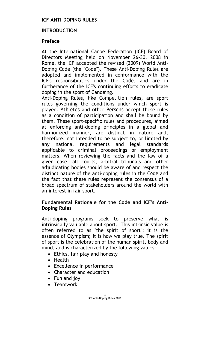# **ICF ANTI-DOPING RULES**

#### **INTRODUCTION**

#### **Preface**

At the International Canoe Federation (ICF) Board of Directors Meeting held on November 26-30, 2008 in Rome, the ICF accepted the revised (2009) World Anti-Doping *Code* (the "*Code*"). These Anti-Doping Rules are adopted and implemented in conformance with the ICF's responsibilities under the *Code*, and are in furtherance of the ICF's continuing efforts to eradicate doping in the sport of Canoeing.

Anti-Doping Rules, like *Competition* rules, are sport rules governing the conditions under which sport is played. *Athletes* and other *Persons* accept these rules as a condition of participation and shall be bound by them. These sport-specific rules and procedures, aimed at enforcing anti-doping principles in a global and harmonized manner, are distinct in nature and, therefore, not intended to be subject to, or limited by any national requirements and legal standards applicable to criminal proceedings or employment matters. When reviewing the facts and the law of a given case, all courts, arbitral tribunals and other adjudicating bodies should be aware of and respect the distinct nature of the anti-doping rules in the *Code* and the fact that these rules represent the consensus of a broad spectrum of stakeholders around the world with an interest in fair sport.

#### **Fundamental Rationale for the Code and ICF's Anti-Doping Rules**

Anti-doping programs seek to preserve what is intrinsically valuable about sport. This intrinsic value is often referred to as "the spirit of sport"; it is the essence of Olympism; it is how we play true. The spirit of sport is the celebration of the human spirit, body and mind, and is characterized by the following values:

- Ethics, fair play and honesty
- Health
- Excellence in performance
- Character and education
- Fun and joy
- Teamwork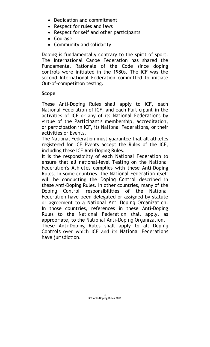- Dedication and commitment
- Respect for rules and laws
- Respect for self and other participants
- Courage
- Community and solidarity

Doping is fundamentally contrary to the spirit of sport. The International Canoe Federation has shared the Fundamental Rationale of the Code since doping controls were initiated in the 1980s. The ICF was the second International Federation committed to initiate Out-of-competition testing.

#### **Scope**

These Anti-Doping Rules shall apply to ICF, each *National Federation* of ICF, and each *Participant* in the activities of ICF or any of its *National Federation*s by virtue of the *Participant's* membership, accreditation, or participation in ICF, its *National Federations*, or their activities or *Events*.

The National Federation must guarantee that all athletes registered for ICF Events accept the Rules of the ICF, including these ICF Anti-Doping Rules.

It is the responsibility of each *National Federation* to ensure that all national-level *Testing* on the *National Federation's Athletes* complies with these Anti-Doping Rules. In some countries, the *National Federation* itself will be conducting the *Doping Control* described in these Anti-Doping Rules. In other countries, many of the *Doping Control* responsibilities of the *National Federation* have been delegated or assigned by statute or agreement to a *National Anti-Doping Organization*. In those countries, references in these Anti-Doping Rules to the *National Federation* shall apply, as appropriate, to the *National Anti-Doping Organization*. These Anti-Doping Rules shall apply to all *Doping Controls* over which ICF and its *National Federations* have jurisdiction.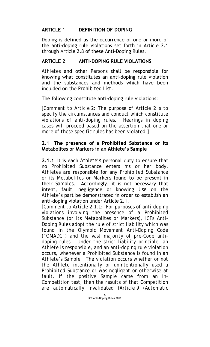# **ARTICLE 1 DEFINITION OF DOPING**

Doping is defined as the occurrence of one or more of the anti-doping rule violations set forth in Article 2.1 through Article 2.8 of these Anti-Doping Rules.

#### **ARTICLE 2 ANTI-DOPING RULE VIOLATIONS**

*Athletes* and other *Persons* shall be responsible for knowing what constitutes an anti-doping rule violation and the substances and methods which have been included on the *Prohibited List*.

The following constitute anti-doping rule violations:

*[Comment to Article 2: The purpose of Article 2 is to specify the circumstances and conduct which constitute violations of anti-doping rules. Hearings in doping cases will proceed based on the assertion that one or more of these specific rules has been violated.]* 

#### **2.1 The presence of a** *Prohibited Substance* **or its Metabolites or Markers in an** *Athlete's Sample*

**2.1.1** It is each *Athlete's* personal duty to ensure that no *Prohibited Substance* enters his or her body. *Athletes* are responsible for any *Prohibited Substance* or its *Metabolites* or *Markers* found to be present in their *Samples*. Accordingly, it is not necessary that intent, fault, negligence or knowing *Use* on the *Athlete's* part be demonstrated in order to establish an anti-doping violation under Article 2.1.

*[Comment to Article 2.1.1: For purposes of anti-doping violations involving the presence of a Prohibited Substance (or its Metabolites or Markers), ICFs Anti-Doping Rules adopt the rule of strict liability which was found in the Olympic Movement Anti-Doping Code ("OMADC") and the vast majority of pre-Code antidoping rules. Under the strict liability principle, an Athlete is responsible, and an anti-doping rule violation occurs, whenever a Prohibited Substance is found in an Athlete's Sample. The violation occurs whether or not the Athlete intentionally or unintentionally used a Prohibited Substance or was negligent or otherwise at fault. If the positive Sample came from an In-Competition test, then the results of that Competition are automatically invalidated (Article 9 (Automatic*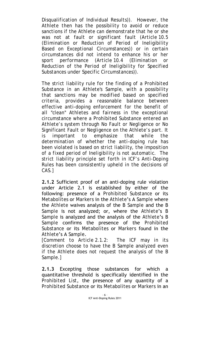*Disqualification of Individual Results)). However, the Athlete then has the possibility to avoid or reduce sanctions if the Athlete can demonstrate that he or she was not at fault or significant fault (Article 10.5 (Elimination or Reduction of Period of Ineligibility Based on Exceptional Circumstances)) or in certain circumstances did not intend to enhance his or her sport performance (Article 10.4 (Elimination or Reduction of the Period of Ineligibility for Specified Substances under Specific Circumstances)).* 

*The strict liability rule for the finding of a Prohibited Substance in an Athlete's Sample, with a possibility that sanctions may be modified based on specified criteria, provides a reasonable balance between effective anti-doping enforcement for the benefit of all "clean" Athletes and fairness in the exceptional circumstance where a Prohibited Substance entered an Athlete's system through No Fault or Negligence or No Significant Fault or Negligence on the Athlete's part. It is important to emphasize that while the determination of whether the anti-doping rule has been violated is based on strict liability, the imposition of a fixed period of Ineligibility is not automatic. The strict liability principle set forth in ICF's Anti-Doping Rules has been consistently upheld in the decisions of CAS.]* 

**2.1.2** Sufficient proof of an anti-doping rule violation under Article 2.1 is established by either of the following: presence of a *Prohibited Substance* or its *Metabolites* or *Markers* in the *Athlete*'s A *Sample* where the *Athlete* waives analysis of the B *Sample* and the B *Sample* is not analyzed; or, where the *Athlete*'s B *Sample* is analyzed and the analysis of the *Athlete*'s B *Sample* confirms the presence of the *Prohibited Substance* or its *Metabolites* or *Markers* found in the *Athlete*'s A *Sample*.

*[Comment to Article 2.1.2: The ICF may in its discretion choose to have the B Sample analyzed even if the Athlete does not request the analysis of the B Sample.]* 

**2.1.3** Excepting those substances for which a quantitative threshold is specifically identified in the *Prohibited List*, the presence of any quantity of a *Prohibited Substance* or its *Metabolites* or *Markers* in an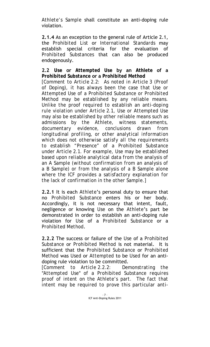*Athlete's Sample* shall constitute an anti-doping rule violation.

**2.1.4** As an exception to the general rule of Article 2.1, the *Prohibited List* or *International Standards* may establish special criteria for the evaluation of *Prohibited Substances* that can also be produced endogenously.

#### **2.2** *Use* **or** *Attempted Use* **by an** *Athlete* **of a**  *Prohibited Substance* **or a** *Prohibited Method*

*[Comment to Article 2.2: As noted in Article 3 (Proof of Doping), it has always been the case that Use or Attempted Use of a Prohibited Substance or Prohibited Method may be established by any reliable means. Unlike the proof required to establish an anti-doping rule violation under Article 2.1, Use or Attempted Use may also be established by other reliable means such as admissions by the Athlete, witness statements, documentary evidence, conclusions drawn from longitudinal profiling, or other analytical information which does not otherwise satisfy all the requirements to establish "Presence" of a Prohibited Substance under Article 2.1. For example, Use may be established based upon reliable analytical data from the analysis of an A Sample (without confirmation from an analysis of a B Sample) or from the analysis of a B Sample alone where the ICF provides a satisfactory explanation for the lack of confirmation in the other Sample.]* 

**2.2.1** It is each *Athlete*'s personal duty to ensure that no *Prohibited Substance* enters his or her body. Accordingly, it is not necessary that intent, fault, negligence or knowing *Use* on the *Athlete*'s part be demonstrated in order to establish an anti-doping rule violation for *Use* of a *Prohibited Substance* or a *Prohibited Method*.

**2.2.2** The success or failure of the *Use* of a *Prohibited Substance* or *Prohibited Method* is not material. It is sufficient that the *Prohibited Substance* or *Prohibited Method* was *Used* or *Attempted* to be *Used* for an antidoping rule violation to be committed.

*[Comment to Article 2.2.2: Demonstrating the "Attempted Use" of a Prohibited Substance requires proof of intent on the Athlete's part. The fact that intent may be required to prove this particular anti-*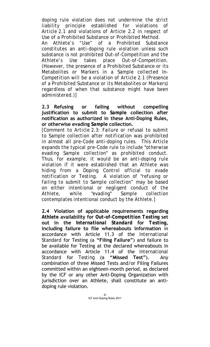*doping rule violation does not undermine the strict liability principle established for violations of Article 2.1 and violations of Article 2.2 in respect of Use of a Prohibited Substance or Prohibited Method.* 

*An Athlete's "Use" of a Prohibited Substance constitutes an anti-doping rule violation unless such substance is not prohibited Out-of-Competition and the Athlete's Use takes place Out-of-Competition. (However, the presence of a Prohibited Substance or its Metabolites or Markers in a Sample collected In-Competition will be a violation of Article 2.1 (Presence of a Prohibited Substance or its Metabolites or Markers) regardless of when that substance might have been administered.)]* 

**2.3 Refusing or failing without compelling justification to submit to** *Sample* **collection after notification as authorized in these Anti-Doping Rules, or otherwise evading** *Sample* **collection.** 

*[Comment to Article 2.3: Failure or refusal to submit to Sample collection after notification was prohibited in almost all pre-Code anti-doping rules. This Article expands the typical pre-Code rule to include "otherwise evading Sample collection" as prohibited conduct. Thus, for example, it would be an anti-doping rule violation if it were established that an Athlete was hiding from a Doping Control official to evade notification or Testing. A violation of "refusing or failing to submit to Sample collection" may be based on either intentional or negligent conduct of the Athlete, while "evading" Sample collection contemplates intentional conduct by the Athlete.]* 

**2.4 Violation of applicable requirements regarding**  *Athlete* **availability for** *Out-of-Competition Testing* **set out in the** *International Standard* **for** *Testing***, including failure to file whereabouts information** in accordance with Article 11.3 of the *International Standard* for Testing (a **"Filing Failure"**) and failure to be available for Testing at the declared whereabouts in accordance with Article 11.4 of the *International Standard* for *Testing* (a **"Missed Test"**). Any combination of three Missed Tests and/or Filing Failures committed within an eighteen-month period, as declared by the ICF or any other Anti-Doping Organization with jurisdiction over an Athlete, shall constitute an antidoping rule violation.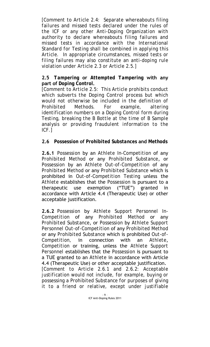*[Comment to Article 2.4: Separate whereabouts filing failures and missed tests declared under the rules of the ICF or any other Anti-Doping Organization with authority to declare whereabouts filing failures and missed tests in accordance with the International Standard for Testing shall be combined in applying this Article. In appropriate circumstances, missed tests or filing failures may also constitute an anti-doping rule violation under Article 2.3 or Article 2.5.]* 

#### **2.5** *Tampering* **or** *Attempted Tampering* **with any part of** *Doping Control***.**

*[Comment to Article 2.5: This Article prohibits conduct which subverts the Doping Control process but which would not otherwise be included in the definition of Prohibited Methods. For example, altering identification numbers on a Doping Control form during Testing, breaking the B Bottle at the time of B Sample analysis or providing fraudulent information to the ICF.]* 

#### **2.6** *Possession* **of** *Prohibited Substances* **and** *Methods*

**2.6.1** *Possession* by an *Athlete In-Competition* of any *Prohibited Method* or any *Prohibited Substance*, or *Possession* by an *Athlete Out-of-Competition* of any *Prohibited Method* or any *Prohibited Substance* which is prohibited in *Out-of-Competition Testing* unless the *Athlete* establishes that the *Possession* is pursuant to a therapeutic use exemption ("TUE") granted in accordance with Article 4.4 (Therapeutic Use) or other acceptable justification.

**2.6.2** *Possession* by *Athlete Support Personnel In-Competition* of any *Prohibited Method* or any *Prohibited Substance*, or *Possession* by *Athlete Support Personnel Out-of-Competition* of any *Prohibited Method*  or any *Prohibited Substance* which is prohibited *Out-of-Competition,* in connection with an *Athlete*, *Competition* or training, unless the *Athlete Support Personnel* establishes that the *Possession* is pursuant to a TUE granted to an *Athlete* in accordance with Article 4.4 (Therapeutic Use) or other acceptable justification. *[Comment to Article 2.6.1 and 2.6.2: Acceptable justification would not include, for example, buying or possessing a Prohibited Substance for purposes of giving it to a friend or relative, except under justifiable*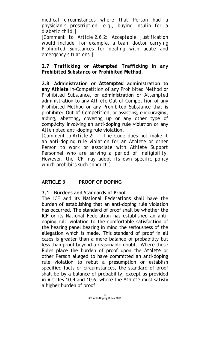*medical circumstances where that Person had a physician's prescription, e.g., buying Insulin for a diabetic child.]* 

*[Comment to Article 2.6.2: Acceptable justification would include, for example, a team doctor carrying Prohibited Substances for dealing with acute and emergency situations.]* 

**2.7** *Trafficking* **or** *Attempted Trafficking* **in any**  *Prohibited Substance* **or** *Prohibited Method*.

**2.8 Administration or** *Attempted* **administration to any** *Athlete In-Competition* of any *Prohibited Method* or *Prohibited Substance*, or administration or *Attempted* administration to any *Athlete Out-of-Competition* of any *Prohibited Method* or any *Prohibited Substance* that is prohibited *Out-of-Competition*, or assisting, encouraging, aiding, abetting, covering up or any other type of complicity involving an anti-doping rule violation or any *Attempted* anti-doping rule violation.

*[Comment to Article 2: The Code does not make it an anti-doping rule violation for an Athlete or other Person to work or associate with Athlete Support Personnel who are serving a period of Ineligibility. However, the ICF may adopt its own specific policy which prohibits such conduct.]* 

# **ARTICLE 3 PROOF OF DOPING**

#### **3.1 Burdens and Standards of Proof**

The ICF and its *National Federations* shall have the burden of establishing that an anti-doping rule violation has occurred. The standard of proof shall be whether the ICF or its *National Federation* has established an antidoping rule violation to the comfortable satisfaction of the hearing panel bearing in mind the seriousness of the allegation which is made. This standard of proof in all cases is greater than a mere balance of probability but less than proof beyond a reasonable doubt. Where these Rules place the burden of proof upon the *Athlete* or other *Person* alleged to have committed an anti-doping rule violation to rebut a presumption or establish specified facts or circumstances, the standard of proof shall be by a balance of probability, except as provided in Articles 10.4 and 10.6, where the *Athlete* must satisfy a higher burden of proof.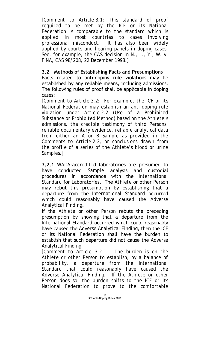*[Comment to Article 3.1: This standard of proof required to be met by the ICF or its National Federation is comparable to the standard which is applied in most countries to cases involving professional misconduct. It has also been widely applied by courts and hearing panels in doping cases. See, for example, the CAS decision in N., J., Y., W. v. FINA, CAS 98/208, 22 December 1998.]* 

#### **3.2 Methods of Establishing Facts and Presumptions**

Facts related to anti-doping rule violations may be established by any reliable means, including admissions. The following rules of proof shall be applicable in doping cases:

*[Comment to Article 3.2: For example, the ICF or its National Federation may establish an anti-doping rule violation under Article 2.2 (Use of a Prohibited Substance or Prohibited Method) based on the Athlete's admissions, the credible testimony of third Persons, reliable documentary evidence, reliable analytical data from either an A or B Sample as provided in the Comments to Article 2.2, or conclusions drawn from the profile of a series of the Athlete's blood or urine Samples.]* 

**3.2.1** *WADA*-accredited laboratories are presumed to have conducted *Sample* analysis and custodial procedures in accordance with the *International Standard* for Laboratories. The *Athlete* or other *Person* may rebut this presumption by establishing that a departure from the *International Standard* occurred which could reasonably have caused the *Adverse Analytical Finding*.

If the *Athlete* or other *Person* rebuts the preceding presumption by showing that a departure from the *International Standard* occurred which could reasonably have caused the *Adverse Analytical Finding*, then the ICF or its *National Federation* shall have the burden to establish that such departure did not cause the *Adverse Analytical Finding*.

*[Comment to Article 3.2.1: The burden is on the Athlete or other Person to establish, by a balance of probability, a departure from the International Standard that could reasonably have caused the Adverse Analytical Finding. If the Athlete or other Person does so, the burden shifts to the ICF or its National Federation to prove to the comfortable*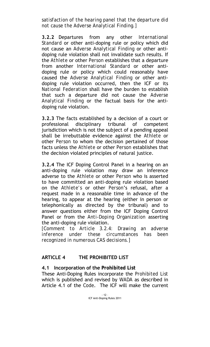*satisfaction of the hearing panel that the departure did not cause the Adverse Analytical Finding.]* 

**3.2.2** Departures from any other *International Standard* or other anti-doping rule or policy which did not cause an *Adverse Analytical Finding* or other antidoping rule violation shall not invalidate such results. If the *Athlete* or other *Person* establishes that a departure from another *International Standard* or other antidoping rule or policy which could reasonably have caused the *Adverse Analytical Finding* or other antidoping rule violation occurred, then the ICF or its *National Federation* shall have the burden to establish that such a departure did not cause the *Adverse Analytical Finding* or the factual basis for the antidoping rule violation.

**3.2.3** The facts established by a decision of a court or professional disciplinary tribunal of competent jurisdiction which is not the subject of a pending appeal shall be irrebuttable evidence against the *Athlete* or other *Person* to whom the decision pertained of those facts unless the *Athlete* or other *Person* establishes that the decision violated principles of natural justice.

**3.2.4** The ICF Doping Control Panel in a hearing on an anti-doping rule violation may draw an inference adverse to the *Athlete* or other *Person* who is asserted to have committed an anti-doping rule violation based on the *Athlete's* or other *Person*'s refusal, after a request made in a reasonable time in advance of the hearing, to appear at the hearing (either in person or telephonically as directed by the tribunal) and to answer questions either from the ICF Doping Control Panel or from the *Anti-Doping Organization* asserting the anti-doping rule violation.

*[Comment to Article 3.2.4: Drawing an adverse inference under these circumstances has been recognized in numerous CAS decisions.]* 

### **ARTICLE 4 THE PROHIBITED LIST**

#### **4.1 Incorporation of the** *Prohibited List*

These Anti-Doping Rules incorporate the *Prohibited List* which is published and revised by *WADA* as described in Article 4.1 of the *Code*. The ICF will make the current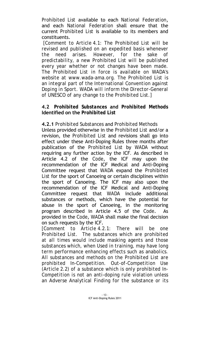*Prohibited List* available to each *National Federation*, and each *National Federation* shall ensure that the current *Prohibited List* is available to its members and constituents.

 *[Comment to Article 4.1: The Prohibited List will be revised and published on an expedited basis whenever the need arises. However, for the sake of predictability, a new Prohibited List will be published every year whether or not changes have been made. The Prohibited List in force is available on WADA's website at www.wada-ama.org. The Prohibited List is an integral part of the International Convention against Doping in Sport. WADA will inform the Director-General of UNESCO of any change to the Prohibited List.]* 

#### **4.2** *Prohibited Substances* **and** *Prohibited Methods* **Identified on the** *Prohibited List*

#### **4.2.1** *Prohibited Substances* and *Prohibited Methods*

Unless provided otherwise in the *Prohibited List* and/or a revision, the *Prohibited List* and revisions shall go into effect under these Anti-Doping Rules three months after publication of the *Prohibited List* by *WADA* without requiring any further action by the ICF*.* As described in Article 4.2 of the *Code*, the ICF may upon the recommendation of the ICF Medical and Anti-Doping Committee request that *WADA* expand the *Prohibited List* for the sport of Canoeing or certain disciplines within the sport of Canoeing. The ICF may also upon the recommendation of the ICF Medical and Anti-Doping Committee request that *WADA* include additional substances or methods, which have the potential for abuse in the sport of Canoeing, in the monitoring program described in Article 4.5 of the *Code*. As provided in the *Code*, *WADA* shall make the final decision on such requests by the ICF.

*[Comment to Article 4.2.1: There will be one Prohibited List. The substances which are prohibited at all times would include masking agents and those substances which, when Used in training, may have long term performance enhancing effects such as anabolics. All substances and methods on the Prohibited List are prohibited In-Competition. Out-of-Competition Use (Article 2.2) of a substance which is only prohibited In-Competition is not an anti-doping rule violation unless an Adverse Analytical Finding for the substance or its*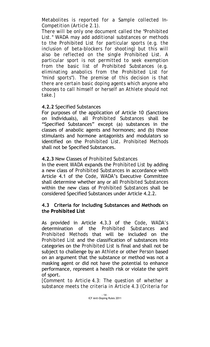*Metabolites is reported for a Sample collected In-Competition (Article 2.1).* 

*There will be only one document called the "Prohibited List." WADA may add additional substances or methods to the Prohibited List for particular sports (e.g. the inclusion of beta-blockers for shooting) but this will also be reflected on the single Prohibited List. A particular sport is not permitted to seek exemption from the basic list of Prohibited Substances (e.g. eliminating anabolics from the Prohibited List for ''mind sports"). The premise of this decision is that there are certain basic doping agents which anyone who chooses to call himself or herself an Athlete should not take.]* 

#### **4.2.2** Specified Substances

For purposes of the application of Article 10 (Sanctions on Individuals), all *Prohibited Substances* shall be "Specified Substances" except (a) substances in the classes of anabolic agents and hormones; and (b) those stimulants and hormone antagonists and modulators so identified on the *Prohibited List*. *Prohibited Methods* shall not be Specified Substances.

#### **4.2.3** New Classes of *Prohibited Substances*

In the event *WADA* expands the *Prohibited List* by adding a new class of *Prohibited Substances* in accordance with Article 4.1 of the *Code*, *WADA*'s Executive Committee shall determine whether any or all *Prohibited Substances* within the new class of *Prohibited Substances* shall be considered Specified Substances under Article 4.2.2.

#### **4.3 Criteria for Including Substances and Methods on the** *Prohibited List*

As provided in Article 4.3.3 of the *Code*, *WADA's* determination of the *Prohibited Substances* and *Prohibited Methods* that will be included on the *Prohibited List* and the classification of substances into categories on the *Prohibited List* is final and shall not be subject to challenge by an *Athlete* or other *Person* based on an argument that the substance or method was not a masking agent or did not have the potential to enhance performance, represent a health risk or violate the spirit of sport.

*[Comment to Article 4.3: The question of whether a substance meets the criteria in Article 4.3 (Criteria for*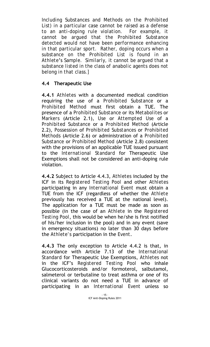*Including Substances and Methods on the Prohibited List) in a particular case cannot be raised as a defense to an anti-doping rule violation. For example, it cannot be argued that the Prohibited Substance detected would not have been performance enhancing in that particular sport. Rather, doping occurs when a substance on the Prohibited List is found in an Athlete*'s *Sample. Similarly, it cannot be argued that a substance listed in the class of anabolic agents does not belong in that class.]* 

# **4.4 Therapeutic Use**

**4.4.1** *Athletes* with a documented medical condition requiring the use of a *Prohibited Substance* or a *Prohibited Method* must first obtain a TUE. The presence of a *Prohibited Substance* or its *Metabolites* or *Markers* (Article 2.1), *Use* or *Attempted Use* of a *Prohibited Substance* or a *Prohibited Method* (Article 2.2), *Possession* of *Prohibited Substances* or *Prohibited Methods* (Article 2.6) or administration of a *Prohibited Substance* or *Prohibited Method* (Article 2.8) consistent with the provisions of an applicable TUE issued pursuant to the *International Standard* for Therapeutic Use Exemptions shall not be considered an anti-doping rule violation.

**4.4.2** Subject to Article 4.4.3, *Athletes* included by the ICF in its *Registered Testing Pool* and other *Athletes* participating in any *International Event* must obtain a TUE from the ICF (regardless of whether the *Athlete* previously has received a TUE at the national level). The application for a TUE must be made as soon as possible (in the case of an *Athlete* in the *Registered Testing Pool*, this would be when he/she is first notified of his/her inclusion in the pool) and in any event (save in emergency situations) no later than 30 days before the *Athlete's* participation in the *Event*.

**4.4.3** The only exception to Article 4.4.2 is that, in accordance with Article 7.13 of the *International Standard* for Therapeutic Use Exemptions, *Athletes* not in the ICF's *Registered Testing Pool* who inhale Glucocorticosteroids and/or formoterol, salbutamol, salmeterol or terbutaline to treat asthma or one of its clinical variants do not need a TUE in advance of participating in an *International Event* unless so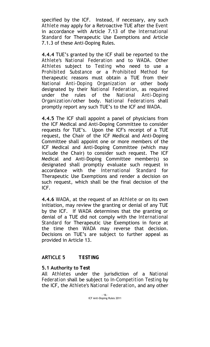specified by the ICF. Instead, if necessary, any such *Athlete* may apply for a Retroactive TUE after the *Event*  in accordance with Article 7.13 of the *International Standard* for Therapeutic Use Exemptions and Article 7.1.3 of these Anti-Doping Rules.

**4.4.4** TUE's granted by the ICF shall be reported to the *Athlete's National Federation* and to *WADA*. Other *Athletes* subject to *Testing* who need to use a *Prohibited Substance* or a *Prohibited Method* for therapeutic reasons must obtain a TUE from their *National Anti-Doping Organization* or other body designated by their *National Federation*, as required under the rules of the *National Anti-Doping Organization*/other body. *National Federations* shall promptly report any such TUE's to the ICF and *WADA*.

**4.4.5** The ICF shall appoint a panel of physicians from the ICF Medical and Anti-Doping Committee to consider requests for TUE's. Upon the ICF's receipt of a TUE request, the Chair of the ICF Medical and Anti-Doping Committee shall appoint one or more members of the ICF Medical and Anti-Doping Committee (which may include the Chair) to consider such request. The ICF Medical and Anti-Doping Committee member(s) so designated shall promptly evaluate such request in accordance with the *International Standard* for Therapeutic Use Exemptions and render a decision on such request, which shall be the final decision of the ICF.

**4.4.6** *WADA*, at the request of an *Athlete* or on its own initiation, may review the granting or denial of any TUE by the ICF. If *WADA* determines that the granting or denial of a TUE did not comply with the *International Standard* for Therapeutic Use Exemptions in force at the time then *WADA* may reverse that decision. Decisions on TUE's are subject to further appeal as provided in Article 13.

### **ARTICLE 5** *TESTING*

#### **5.1 Authority to** *Test*

All *Athletes* under the jurisdiction of a *National Federation* shall be subject to *In-Competition Testing* by the ICF, the *Athlete's National Federation*, and any other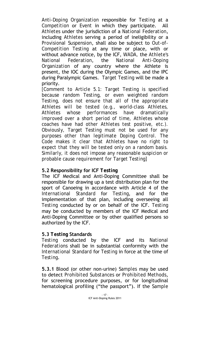*Anti-Doping Organization* responsible for *Testing* at a *Competition* or *Event* in which they participate. All *Athletes* under the jurisdiction of a *National Federation*, including *Athletes* serving a period of ineligibility or a *Provisional Suspension*, shall also be subject to *Out-of-Competition Testing* at any time or place, with or without advance notice, by the ICF, *WADA,* the *Athlete's National Federation*, the *National Anti-Doping Organization* of any country where the Athlete is present, the IOC during the Olympic Games, and the IPC during Paralympic Games. *Target Testing* will be made a priority.

*[Comment to Article 5.1: Target Testing is specified because random Testing, or even weighted random Testing, does not ensure that all of the appropriate Athletes will be tested (e.g., world-class Athletes, Athletes whose performances have dramatically improved over a short period of time, Athletes whose coaches have had other Athletes test positive, etc.). Obviously, Target Testing must not be used for any purposes other than legitimate Doping Control. The Code makes it clear that Athletes have no right to expect that they will be tested only on a random basis. Similarly, it does not impose any reasonable suspicion or probable cause requirement for Target Testing]* 

# **5.2 Responsibility for ICF** *Testing*

The ICF Medical and Anti-Doping Committee shall be responsible for drawing up a test distribution plan for the sport of Canoeing in accordance with Article 4 of the *International Standard* for *Testing*, and for the implementation of that plan, including overseeing all *Testing* conducted by or on behalf of the ICF. *Testing* may be conducted by members of the ICF Medical and Anti-Doping Committee or by other qualified persons so authorized by the ICF.

### **5.3** *Testing* **Standards**

*Testing* conducted by the ICF and its *National Federations* shall be in substantial conformity with the *International Standard* for *Testing* in force at the time of *Testing*.

**5.3.1** Blood (or other non-urine) *Samples* may be used to detect *Prohibited Substances* or *Prohibited Methods*, for screening procedure purposes, or for longitudinal hematological profiling ("the passport"). If the *Sample*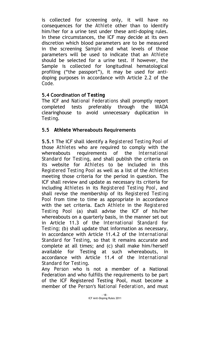is collected for screening only, it will have no consequences for the *Athlete* other than to identify him/her for a urine test under these anti-doping rules. In these circumstances, the ICF may decide at its own discretion which blood parameters are to be measured in the screening *Sample* and what levels of those parameters will be used to indicate that an *Athlete* should be selected for a urine test. If however, the Sample is collected for longitudinal hematological profiling ("the passport"), it may be used for antidoping purposes in accordance with Article 2.2 of the *Code.*

#### **5.4 Coordination of** *Testing*

The ICF and *National Federations* shall promptly report completed tests preferably through the *WADA* clearinghouse to avoid unnecessary duplication in *Testing*.

#### **5.5** *Athlete* **Whereabouts Requirements**

**5.5.1** The ICF shall identify a *Registered Testing Pool* of those *Athletes* who are required to comply with the whereabouts requirements of the *International Standard* for *Testing*, and shall publish the criteria on its website for *Athletes* to be included in this *Registered Testing Pool* as well as a list of the *Athletes* meeting those criteria for the period in question. The ICF shall review and update as necessary its criteria for including *Athletes* in its *Registered Testing Pool*, and shall revise the membership of its *Registered Testing Pool* from time to time as appropriate in accordance with the set criteria. Each *Athlete* in the *Registered Testing Pool* (a) shall advise the ICF of his/her whereabouts on a quarterly basis, in the manner set out in Article 11.3 of the *International Standard* for *Testing*; (b) shall update that information as necessary, in accordance with Article 11.4.2 of the *International Standard* for *Testing*, so that it remains accurate and complete at all times; and (c) shall make him/herself available for Testing at such whereabouts, in accordance with Article 11.4 of the *International Standard* for *Testing*.

Any *Person* who is not a member of a National Federation and who fulfills the requirements to be part of the ICF Registered Testing Pool, must become a member of the *Person's National Federation*, and must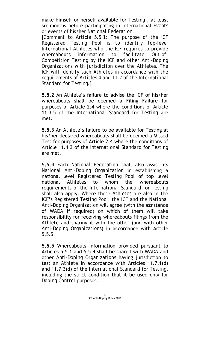make himself or herself available for *Testing* , at least six months before participating in International *Events*  or events of his/her *National Federation.* 

[*Comment to Article 5.5.1: The purpose of the ICF Registered Testing Pool is to identify top-level International Athletes who the ICF requires to provide whereabouts information to facilitate Out-of-Competition Testing by the ICF and other Anti-Doping Organizations with jurisdiction over the Athletes. The ICF will identify such Athletes in accordance with the requirements of Articles 4 and 11.2 of the International Standard for Testing.*]

**5.5.2** An *Athlete's* failure to advise the ICF of his/her whereabouts shall be deemed a Filing Failure for purposes of Article 2.4 where the conditions of Article 11.3.5 of the *International Standard* for *Testing* are met.

**5.5.3** An *Athlete's* failure to be available for Testing at his/her declared whereabouts shall be deemed a Missed Test for purposes of Article 2.4 where the conditions of Article 11.4.3 of the *International Standard* for *Testing* are met.

**5.5.4** Each *National Federation* shall also assist its *National Anti-Doping Organization* in establishing a national level *Registered Testing Pool* of top level national *Athletes* to whom the whereabouts requirements of the *International Standard* for *Testing* shall also apply. Where those *Athletes* are also in the ICF's *Registered Testing Pool*, the ICF and the *National Anti-Doping Organization* will agree (with the assistance of *WADA* if required) on which of them will take responsibility for receiving whereabouts filings from the *Athlete* and sharing it with the other (and with other *Anti-Doping Organizations*) in accordance with Article 5.5.5.

**5.5.5** Whereabouts information provided pursuant to Articles 5.5.1 and 5.5.4 shall be shared with *WADA* and other *Anti-Doping Organizations* having jurisdiction to test an *Athlete* in accordance with Articles 11.7.1(d) and 11.7.3(d) of the *International Standard* for *Testing*, including the strict condition that it be used only for *Doping Control* purposes.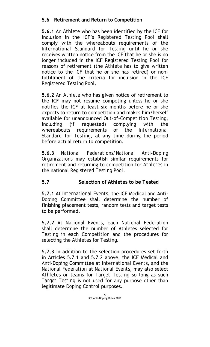# **5.6 Retirement and Return to Competition**

**5.6.1** An *Athlete* who has been identified by the ICF for inclusion in the ICF's *Registered Testing Pool* shall comply with the whereabouts requirements of the *International Standard* for *Testing* until he or she receives written notice from the ICF that he or she is no longer included in the ICF *Registered Testing Pool* for reasons of retirement (the *Athlete* has to give written notice to the ICF that he or she has retired) or nonfulfillment of the criteria for inclusion in the ICF *Registered Testing Pool*.

**5.6.2** An *Athlete* who has given notice of retirement to the ICF may not resume competing unless he or she notifies the ICF at least six months before he or she expects to return to competition and makes him/herself available for unannounced *Out-of-Competition Testing*, including (if requested) complying with the whereabouts requirements of the *International Standard* for *Testing*, at any time during the period before actual return to competition.

**5.6.3** *National Federations/National Anti-Doping Organizations* may establish similar requirements for retirement and returning to competition for *Athletes* in the national *Registered Testing Pool*.

# **5.7 Selection of** *Athletes* **to be** *Tested*

**5.7.1** At *International Events*, the ICF Medical and Anti-Doping Committee shall determine the number of finishing placement tests, random tests and target tests to be performed.

**5.7.2** At *National Events*, each *National Federation* shall determine the number of Athletes selected for *Testing* in each *Competition* and the procedures for selecting the *Athletes* for *Testing*.

**5.7.3** In addition to the selection procedures set forth in Articles 5.7.1 and 5.7.2 above, the ICF Medical and Anti-Doping Committee at *International Events*, and the *National Federation* at *National Events*, may also select *Athletes* or teams for *Target Testing* so long as such *Target Testing* is not used for any purpose other than legitimate *Doping Control* purposes.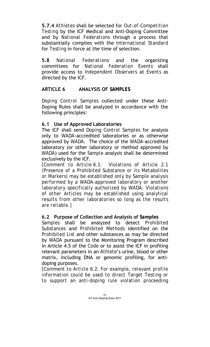**5.7.4** *Athletes* shall be selected for *Out-of-Competition Testing* by the ICF Medical and Anti-Doping Committee and by *National Federations* through a process that substantially complies with the *International Standard*  for *Testing* in force at the time of selection.

**5.8** *National Federations* and the organizing committees for *National Federation Events* shall provide access to *Independent Observers* at *Events* as directed by the ICF.

# **ARTICLE 6 ANALYSIS OF** *SAMPLES*

*Doping Control Samples* collected under these Anti-Doping Rules shall be analyzed in accordance with the following principles:

# **6.1 Use of Approved Laboratories**

The ICF shall send *Doping Control Samples* for analysis only to *WADA*-accredited laboratories or as otherwise approved by *WADA*. The choice of the *WADA*-accredited laboratory (or other laboratory or method approved by *WADA*) used for the *Sample* analysis shall be determined exclusively by the ICF.

*[Comment to Article 6.1: Violations of Article 2.1 (Presence of a Prohibited Substance or its Metabolites or Markers) may be established only by Sample analysis performed by a WADA-approved laboratory or another laboratory specifically authorized by WADA. Violations of other Articles may be established using analytical results from other laboratories so long as the results are reliable.]* 

### **6.2 Purpose of Collection and Analysis of** *Samples*

*Samples* shall be analyzed to detect *Prohibited Substances* and *Prohibited Methods* identified on the *Prohibited List* and other substances as may be directed by *WADA* pursuant to the Monitoring Program described in Article 4.5 of the *Code* or to assist the ICF in profiling relevant parameters in an *Athlete*'s urine, blood or other matrix, including DNA or genomic profiling, for antidoping purposes.

*[Comment to Article 6.2: For example, relevant profile information could be used to direct Target Testing or to support an anti-doping rule violation proceeding*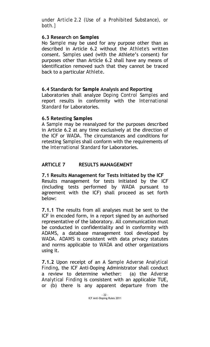*under Article 2.2 (Use of a Prohibited Substance), or both.]* 

#### **6.3 Research on** *Samples*

No *Sample* may be used for any purpose other than as described in Article 6.2 without the *Athlete's* written consent. *Samples* used (with the Athlete's consent) for purposes other than Article 6.2 shall have any means of identification removed such that they cannot be traced back to a particular *Athlete*.

#### **6.4 Standards for** *Sample* **Analysis and Reporting**

Laboratories shall analyze *Doping Control Samples* and report results in conformity with the *International Standard* for Laboratories.

#### **6.5 Retesting** *Samples*

A *Sample* may be reanalyzed for the purposes described in Article 6.2 at any time exclusively at the direction of the ICF or *WADA*. The circumstances and conditions for retesting *Samples* shall conform with the requirements of the *International Standard* for Laboratories.

### **ARTICLE 7 RESULTS MANAGEMENT**

# **7.1 Results Management for Tests Initiated by the ICF**

Results management for tests initiated by the ICF (including tests performed by *WADA* pursuant to agreement with the ICF) shall proceed as set forth below:

**7.1.1** The results from all analyses must be sent to the ICF in encoded form, in a report signed by an authorised representative of the laboratory. All communication must be conducted in confidentiality and in conformity with *ADAMS*, a database management tool developed by *WADA*. *ADAMS* is consistent with data privacy statutes and norms applicable to *WADA* and other organizations using it.

**7.1.2** Upon receipt of an A *Sample Adverse Analytical Finding*, the ICF Anti-Doping Administrator shall conduct a review to determine whether: (a) the *Adverse Analytical Finding* is consistent with an applicable TUE, or (b) there is any apparent departure from the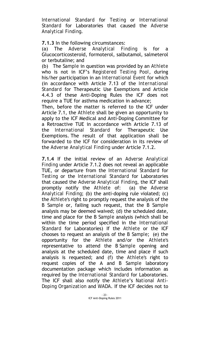*International Standard* for *Testing* or *International Standard* for Laboratories that caused the *Adverse Analytical Finding*.

**7.1.3** In the following circumstances:

(a) The *Adverse Analytical Finding* is for a Glucocorticosteroid, formoterol, salbutamol, salmeterol or terbutaline; and

(b) The *Sample* in question was provided by an *Athlete* who is not in ICF's *Registered Testing Pool*, during his/her participation in an *International Event* for which (in accordance with Article 7.13 of the *International Standard* for Therapeutic Use Exemptions and Article 4.4.3 of these Anti-Doping Rules the ICF does not require a TUE for asthma medication in advance;

Then, before the matter is referred to the ICF under Article 7.1, the *Athlete* shall be given an opportunity to apply to the ICF Medical and Anti-Doping Committee for a Retroactive TUE in accordance with Article 7.13 of the *International Standard* for Therapeutic Use Exemptions. The result of that application shall be forwarded to the ICF for consideration in its review of the *Adverse Analytical Finding* under Article 7.1.2.

**7.1.4** If the initial review of an *Adverse Analytical Finding* under Article 7.1.2 does not reveal an applicable TUE, or departure from the *International Standard* for *Testing* or the *International Standard* for Laboratories that caused the *Adverse Analytical Finding*, the ICF shall promptly notify the *Athlete* of: (a) the *Adverse Analytical Finding*; (b) the anti-doping rule violated; (c) the *Athlete's* right to promptly request the analysis of the B *Sample* or, failing such request, that the B *Sample*  analysis may be deemed waived; (d) the scheduled date, time and place for the B *Sample* analysis (which shall be within the time period specified in the *International Standard* for Laboratories) If the *Athlete* or the ICF chooses to request an analysis of the B *Sample*; (e) the opportunity for the *Athlete* and/or the *Athlete's* representative to attend the B *Sample* opening and analysis at the scheduled date, time and place if such analysis is requested; and (f) the *Athlete's* right to request copies of the A and B *Sample* laboratory documentation package which includes information as required by the *International Standard* for Laboratories. The ICF shall also notify the *Athlete*'s *National Anti-Doping Organization* and *WADA*. If the ICF decides not to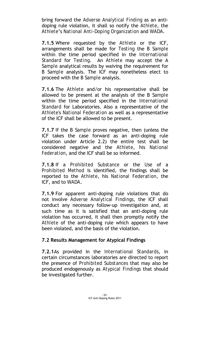bring forward the *Adverse Analytical Finding* as an antidoping rule violation, it shall so notify the *Athlete*, the *Athlete*'s *National Anti-Doping Organization* and *WADA*.

**7.1.5** Where requested by the *Athlete* or the ICF, arrangements shall be made for *Testing* the B *Sample* within the time period specified in the *International Standard* for *Testing*. An *Athlete* may accept the A *Sample* analytical results by waiving the requirement for B *Sample* analysis. The ICF may nonetheless elect to proceed with the B *Sample* analysis.

**7.1.6** The *Athlete* and/or his representative shall be allowed to be present at the analysis of the B *Sample* within the time period specified in the *International Standard* for Laboratories. Also a representative of the *Athlete*'s *National Federation* as well as a representative of the ICF shall be allowed to be present.

**7.1.7** If the B *Sample* proves negative, then (unless the ICF takes the case forward as an anti-doping rule violation under Article 2.2) the entire test shall be considered negative and the *Athlete*, his *National Federation*, and the ICF shall be so informed.

**7.1.8** If a *Prohibited Substance* or the *Use* of a *Prohibited Method* is identified, the findings shall be reported to the *Athlete*, his *National Federation*, the ICF, and to *WADA*.

**7.1.9** For apparent anti-doping rule violations that do not involve *Adverse Analytical Findings*, the ICF shall conduct any necessary follow-up investigation and, at such time as it is satisfied that an anti-doping rule violation has occurred, it shall then promptly notify the *Athlete* of the anti-doping rule which appears to have been violated, and the basis of the violation.

### **7.2 Results Management for Atypical Findings**

**7.2.1** As provided in the *International Standards*, in certain circumstances laboratories are directed to report the presence of *Prohibited Substances* that may also be produced endogenously as *Atypical Findings* that should be investigated further.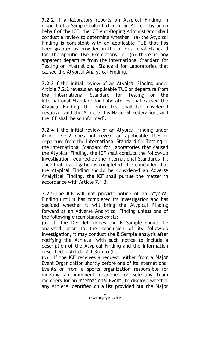**7.2.2** If a laboratory reports an *Atypical Finding* in respect of a *Sample* collected from an *Athlete* by or on behalf of the ICF, the ICF Anti-Doping Administrator shall conduct a review to determine whether: (a) the *Atypical Finding* is consistent with an applicable TUE that has been granted as provided in the *International Standard* for Therapeutic Use Exemptions, or (b) there is any apparent departure from the *International Standard* for *Testing* or *International Standard* for Laboratories that caused the *Atypical Analytical Finding*.

**7.2.3** If the initial review of an *Atypical Finding* under Article 7.2.2 reveals an applicable TUE or departure from the *International Standard* for *Testing* or the *International Standard* for Laboratories that caused the *Atypical Finding*, the entire test shall be considered negative [and the *Athlete*, his *National Federation*, and the ICF shall be so informed].

**7.2.4** If the initial review of an *Atypical Finding* under Article 7.2.2 does not reveal an applicable TUE or departure from the *International Standard* for *Testing* or the *International Standard* for Laboratories that caused the *Atypical Finding*, the ICF shall conduct the follow-up investigation required by the *International Standards. If*, once that investigation is completed, it is concluded that the *Atypical Finding* should be considered an *Adverse Analytical Finding*, the ICF shall pursue the matter in accordance with Article 7.1.3.

**7.2.5** The ICF will not provide notice of an *Atypical Finding* until it has completed its investigation and has decided whether it will bring the *Atypical Finding*  forward as an *Adverse Analytical Finding* unless one of the following circumstances exists:

(a) If the ICF determines the B *Sample* should be analyzed prior to the conclusion of its follow-up investigation, it may conduct the B *Sample* analysis after notifying the *Athlete*, with such notice to include a description of the *Atypical Finding* and the information described in Article 7.1.3(c) to (f).

(b) If the ICF receives a request, either from a *Major Event Organization* shortly before one of its *International Events* or from a sports organization responsible for meeting an imminent deadline for selecting team members for an *International Event*, to disclose whether any *Athlete* identified on a list provided but the *Major*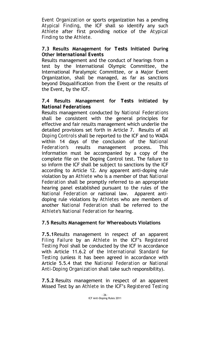*Event Organization* or sports organization has a pending *Atypical Finding*, the ICF shall so identify any such *Athlete* after first providing notice of the *Atypical Finding* to the *Athlete.* 

#### **7.3 Results Management for** *Tests* **Initiated During Other** *International Events*

Results management and the conduct of hearings from a test by the International Olympic Committee, the International Paralympic Committee, or a Major Event Organization, shall be managed, as far as sanctions beyond Disqualification from the Event or the results of the Event, by the ICF.

#### **7.4 Results Management for** *Tests* **initiated by**  *National Federations*

Results management conducted by *National Federations* shall be consistent with the general principles for effective and fair results management which underlie the detailed provisions set forth in Article 7. Results of all *Doping Controls* shall be reported to the ICF and to WADA within 14 days of the conclusion of the *National Federation's* results management process. This information must be accompanied by a copy of the complete file on the Doping Control test. The failure to so inform the ICF shall be subject to sanctions by the ICF according to Article 12. Any apparent anti-doping rule violation by an *Athlete* who is a member of that *National Federation* shall be promptly referred to an appropriate hearing panel established pursuant to the rules of the *National Federation* or national law. Apparent antidoping rule violations by *Athletes* who are members of another *National Federation* shall be referred to the *Athlete's National Federation* for hearing.

### **7.5 Results Management for Whereabouts Violations**

**7.5.1**Results management in respect of an apparent *Filing Failure* by an *Athlete* in the ICF's *Registered Testing Pool* shall be conducted by the ICF in accordance with Article 11.6.2 of the *International Standard* for *Testing* (unless it has been agreed in accordance with Article 5.5.4 that the *National Federation* or *National Anti-Doping Organization* shall take such responsibility).

**7.5.2** Results management in respect of an apparent Missed Test by an *Athlete* in the ICF's *Registered Testing*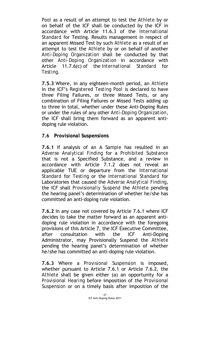*Pool* as a result of an attempt to test the *Athlete* by or on behalf of the ICF shall be conducted by the ICF in accordance with Article 11.6.3 of the *International Standard* for Testing. Results management in respect of an apparent Missed Test by such *Athlete* as a result of an attempt to test the *Athlete* by or on behalf of another *Anti-Doping Organization* shall be conducted by that other *Anti-Doping Organization* in accordance with Article 11.7.6(c) of the *International Standard* for *Testing*.

**7.5.3** Where, in any eighteen-month period, an *Athlete*  in the ICF's *Registered Testing Pool* is declared to have three Filing Failures, or three Missed Tests, or any combination of Filing Failures or Missed Tests adding up to three in total, whether under these Anti-Doping Rules or under the rules of any other *Anti-Doping Organization*, the ICF shall bring them forward as an apparent antidoping rule violation.

### **7.6** *Provisional Suspensions*

**7.6.1** If analysis of an A *Sample* has resulted in an *Adverse Analytical Finding* for a *Prohibited Substance*  that is not a Specified Substance, and a review in accordance with Article 7.1.2 does not reveal an applicable TUE or departure from the *International Standard* for *Testing* or the *International Standard* for Laboratories that caused the *Adverse Analytical Finding*, the ICF shall *Provisionally Suspend* the *Athlete* pending the hearing panel's determination of whether he/she has committed an anti-doping rule violation.

**7.6.2** In any case not covered by Article 7.6.1 where ICF decides to take the matter forward as an apparent antidoping rule violation in accordance with the foregoing provisions of this Article 7, the ICF Executive Committee, after consultation with the ICF Anti-Doping Administrator, may Provisionally Suspend the *Athlete* pending the hearing panel's determination of whether he/she has committed an anti-doping rule violation.

**7.6.3** Where a *Provisional Suspension* is imposed, whether pursuant to Article 7.6.1 or Article 7.6.2, the *Athlete* shall be given either (a) an opportunity for a *Provisional Hearing* before imposition of the *Provisional Suspension* or on a timely basis after imposition of the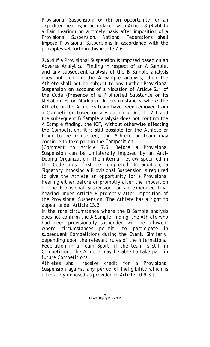*Provisional Suspension*; or (b) an opportunity for an expedited hearing in accordance with Article 8 (Right to a Fair Hearing) on a timely basis after imposition of a *Provisional Suspension. National Federations* shall impose *Provisional Suspensions* in accordance with the principles set forth in this Article 7.6.

**7.6.4** If a *Provisional Suspension* is imposed based on an *Adverse Analytical Finding* in respect of an A *Sample*, and any subsequent analysis of the B *Sample* analysis does not confirm the A *Sample* analysis, then the *Athlete* shall not be subject to any further *Provisional Suspension* on account of a violation of Article 2.1 of the *Code* (Presence of a *Prohibited Substance* or its *Metabolites* or *Markers)*. In circumstances where the *Athlete* or the *Athlete's* team have been removed from a *Competition* based on a violation of Article 2.1 and the subsequent B *Sample* analysis does not confirm the A *Sample* finding, the ICF, without otherwise affecting the *Competition*, it is still possible for the *Athlete* or team to be reinserted, the *Athlete* or team may continue to take part in the *Competition*.

*[Comment to Article 7.6: Before a Provisional Suspension can be unilaterally imposed by an Anti-Doping Organization, the internal review specified in the Code must first be completed. In addition, a Signatory imposing a Provisional Suspension is required to give the Athlete an opportunity for a Provisional Hearing either before or promptly after the imposition of the Provisional Suspension, or an expedited final hearing under Article 8 promptly after imposition of the Provisional Suspension. The Athlete has a right to appeal under Article 13.2.*

*In the rare circumstance where the B Sample analysis does not confirm the A Sample finding, the Athlete who had been provisionally suspended will be allowed, where circumstances permit, to participate in subsequent Competitions during the Event. Similarly, depending upon the relevant rules of the International Federation in a Team Sport, if the team is still in Competition, the Athlete may be able to take part in future Competitions.* 

*Athletes shall receive credit for a Provisional Suspension against any period of Ineligibility which is ultimately imposed as provided in Article 10.9.3.]*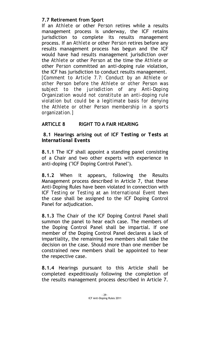# **7.7 Retirement from Sport**

If an *Athlete* or other *Person* retires while a results management process is underway, the ICF retains jurisdiction to complete its results management process. If an *Athlete* or other *Person* retires before any results management process has begun and the ICF would have had results management jurisdiction over the *Athlete* or other *Person* at the time the *Athlete* or other *Person* committed an anti-doping rule violation, the ICF has jurisdiction to conduct results management. *[Comment to Article 7.7: Conduct by an Athlete or other Person before the Athlete or other Person was subject to the jurisdiction of any Anti-Doping Organization would not constitute an anti-doping rule violation but could be a legitimate basis for denying the Athlete or other Person membership in a sports organization.]* 

# **ARTICLE 8 RIGHT TO A FAIR HEARING**

 **8.1 Hearings arising out of ICF** *Testing* **or** *Tests* **at**  *International Events*

**8.1.1** The ICF shall appoint a standing panel consisting of a Chair and two other experts with experience in anti-doping ("ICF Doping Control Panel").

**8.1.2** When it appears, following the Results Management process described in Article 7, that these Anti-Doping Rules have been violated in connection with ICF *Testing* or *Testing* at an *International Event* then the case shall be assigned to the ICF Doping Control Panel for adjudication.

**8.1.3** The Chair of the ICF Doping Control Panel shall summon the panel to hear each case. The members of the Doping Control Panel shall be impartial. If one member of the Doping Control Panel declares a lack of impartiality, the remaining two members shall take the decision on the case. Should more than one member be constrained new members shall be appointed to hear the respective case.

**8.1.4** Hearings pursuant to this Article shall be completed expeditiously following the completion of the results management process described in Article 7.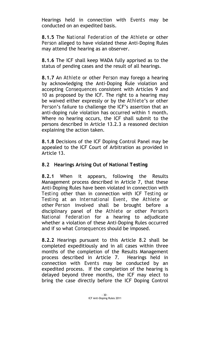Hearings held in connection with *Events* may be conducted on an expedited basis.

**8.1.5** The *National Federation* of the *Athlete* or other *Person* alleged to have violated these Anti-Doping Rules may attend the hearing as an observer.

**8.1.6** The ICF shall keep WADA fully apprised as to the status of pending cases and the result of all hearings.

**8.1.7** An *Athlete* or other *Person* may forego a hearing by acknowledging the Anti-Doping Rule violation and accepting *Consequences* consistent with Articles 9 and 10 as proposed by the ICF. The right to a hearing may be waived either expressly or by the *Athlete*'s or other *Person*'s failure to challenge the ICF's assertion that an anti-doping rule violation has occurred within 1 month**.** Where no hearing occurs, the ICF shall submit to the persons described in Article 13.2.3 a reasoned decision explaining the action taken.

**8.1.8** Decisions of the ICF Doping Control Panel may be appealed to the ICF Court of Arbitration as provided in Article 13.

# **8.2 Hearings Arising Out of National** *Testing*

**8.2.1** When it appears, following the Results Management process described in Article 7, that these Anti-Doping Rules have been violated in connection with *Testing* other than in connection with ICF *Testing* or *Testing* at an *International Event*, the *Athlete* or other *Person* involved shall be brought before a disciplinary panel of the *Athlete* or other *Person's National Federation* for a hearing to adjudicate whether a violation of these Anti-Doping Rules occurred and if so what *Consequences* should be imposed.

**8.2.2** Hearings pursuant to this Article 8.2 shall be completed expeditiously and in all cases within three months of the completion of the Results Management process described in Article 7. Hearings held in connection with *Events* may be conducted by an expedited process. If the completion of the hearing is delayed beyond three months, the ICF may elect to bring the case directly before the ICF Doping Control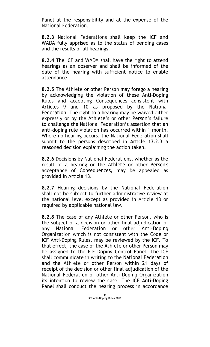Panel at the responsibility and at the expense of the *National Federation*.

**8.2.3** *National Federations* shall keep the ICF and *WADA* fully apprised as to the status of pending cases and the results of all hearings.

**8.2.4** The ICF and *WADA* shall have the right to attend hearings as an observer and shall be informed of the date of the hearing with sufficient notice to enable attendance.

**8.2.5** The *Athlete* or other *Person* may forego a hearing by acknowledging the violation of these Anti-Doping Rules and accepting *Consequences* consistent with Articles 9 and 10 as proposed by the *National Federation*. The right to a hearing may be waived either expressly or by the *Athlete*'s or other *Person*'s failure to challenge the *National Federation*'s assertion that an anti-doping rule violation has occurred within 1 month. Where no hearing occurs, the *National Federation* shall submit to the persons described in Article 13.2.3 a reasoned decision explaining the action taken.

**8.2.6** Decisions by *National Federations*, whether as the result of a hearing or the *Athlete* or other *Person's* acceptance of *Consequences*, may be appealed as provided in Article 13.

**8.2.7** Hearing decisions by the *National Federation* shall not be subject to further administrative review at the national level except as provided in Article 13 or required by applicable national law.

**8.2.8** The case of any *Athlete* or other *Person*, who is the subject of a decision or other final adjudication of any *National Federation* or other *Anti-Doping Organization* which is not consistent with the *Code* or ICF Anti-Doping Rules, may be reviewed by the ICF. To that effect, the case of the *Athlete* or other *Person* may be assigned to the ICF Doping Control Panel. The ICF shall communicate in writing to the *National Federation* and the *Athlete* or other *Person* within 21 days of receipt of the decision or other final adjudication of the *National Federation* or other *Anti-Doping Organization*  its intention to review the case. The ICF Anti-Doping Panel shall conduct the hearing process in accordance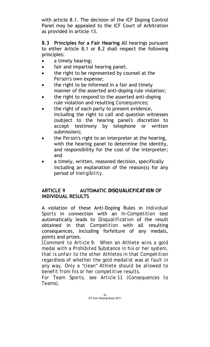with article 8.1. The decision of the ICF Doping Control Panel may be appealed to the ICF Court of Arbitration as provided in article 13.

**8.3 Principles for a Fair Hearing** All hearings pursuant to either Article 8.1 or 8.2 shall respect the following principles:

- a timely hearing;
- fair and impartial hearing panel;
- the right to be represented by counsel at the *Person*'s own expense;
- the right to be informed in a fair and timely manner of the asserted anti-doping rule violation;
- the right to respond to the asserted anti-doping rule violation and resulting *Consequences*;
- the right of each party to present evidence, including the right to call and question witnesses (subject to the hearing panel's discretion to accept testimony by telephone or written submission);
- the *Person*'s right to an interpreter at the hearing, with the hearing panel to determine the identity, and responsibility for the cost of the interpreter; and
- a timely, written, reasoned decision, specifically including an explanation of the reason(s) for any period of *Ineligibility*.

### **ARTICLE 9 AUTOMATIC** *DISQUALICFICATION* **OF INDIVIDUAL RESULTS**

A violation of these Anti-Doping Rules in *Individual Sports* in connection with an *In-Competition* test automatically leads to *Disqualification* of the result obtained in that *Competition* with all resulting consequences, including forfeiture of any medals, points and prizes.

*[Comment to Article 9: When an Athlete wins a gold medal with a Prohibited Substance in his or her system, that is unfair to the other Athletes in that Competition regardless of whether the gold medalist was at fault in any way. Only a "clean" Athlete should be allowed to benefit from his or her competitive results.* 

*For Team Sports, see Article 11 (Consequences to Teams).*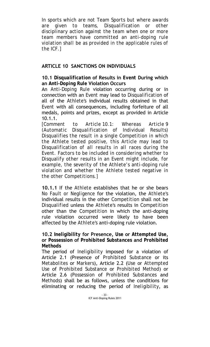*In sports which are not Team Sports but where awards are given to teams, Disqualification or other disciplinary action against the team when one or more team members have committed an anti-doping rule violation shall be as provided in the applicable rules of the ICF.]* 

### **ARTICLE 10 SANCTIONS ON INDIVIDUALS**

#### **10.1** *Disqualification* **of Results in** *Event* **During which an** *Anti-Doping Rule* **Violation Occurs**

An *Anti-Doping Rule* violation occurring during or in connection with an *Event* may lead to *Disqualification* of all of the *Athlete's* individual results obtained in that *Event* with all consequences, including forfeiture of all medals, points and prizes, except as provided in Article 10.1.1.

*[Comment to Article 10.1: Whereas Article 9 (Automatic Disqualification of Individual Results) Disqualifies the result in a single Competition in which the Athlete tested positive, this Article may lead to Disqualification of all results in all races during the Event. Factors to be included in considering whether to Disqualify other results in an Event might include, for example, the severity of the Athlete's anti-doping rule violation and whether the Athlete tested negative in the other Competitions.]* 

**10.1.1** If the *Athlete* establishes that he or she bears *No Fault or Negligence* for the violation, the *Athlete's* individual results in the other *Competition* shall not be *Disqualified* unless the *Athlete's* results in *Competition* other than the *Competition* in which the anti-doping rule violation occurred were likely to have been affected by the *Athlete's* anti-doping rule violation.

**10.2** *Ineligibility* **for Presence,** *Use* **or** *Attempted Use***, or** *Possession* **of** *Prohibited Substances* **and** *Prohibited Methods*

The period of *Ineligibility* imposed for a violation of Article 2.1 (Presence of *Prohibited Substance* or its *Metabolites* or *Markers*), Article 2.2 (*Use* or *Attempted Use* of *Prohibited Substance* or *Prohibited Method*) or Article 2.6 (*Possession* of *Prohibited Substances* and *Methods*) shall be as follows, unless the conditions for eliminating or reducing the period of *Ineligibility*, as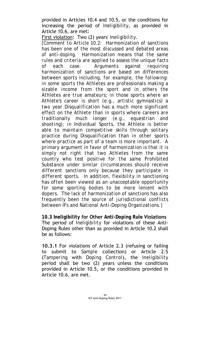provided in Articles 10.4 and 10.5, or the conditions for increasing the period of *Ineligibility*, as provided in Article 10.6, are met:

First violation: Two (2) years' *Ineligibility*.

*[Comment to Article 10.2: Harmonization of sanctions has been one of the most discussed and debated areas of anti-doping. Harmonization means that the same rules and criteria are applied to assess the unique facts of each case. Arguments against requiring harmonization of sanctions are based on differences between sports including, for example, the following: in some sports the Athletes are professionals making a sizable income from the sport and in others the Athletes are true amateurs; in those sports where an Athlete's career is short (e.g., artistic gymnastics) a two year Disqualification has a much more significant effect on the Athlete than in sports where careers are traditionally much longer (e.g., equestrian and shooting); in Individual Sports, the Athlete is better able to maintain competitive skills through solitary practice during Disqualification than in other sports where practice as part of a team is more important. A primary argument in favor of harmonization is that it is simply not right that two Athletes from the same country who test positive for the same Prohibited Substance under similar circumstances should receive different sanctions only because they participate in different sports. In addition, flexibility in sanctioning has often been viewed as an unacceptable opportunity for some sporting bodies to be more lenient with dopers. The lack of harmonization of sanctions has also frequently been the source of jurisdictional conflicts between IFs and National Anti-Doping Organizations.]* 

*10.3 Ineligibility* **for Other** *Anti-Doping Rule* **Violations**  The period of *Ineligibility* for violations of these Anti-Doping Rules other than as provided in Article 10.2 shall be as follows:

**10.3.1** For violations of Article 2.3 (refusing or failing to submit to *Sample* collection) or Article 2.5 (*Tampering* with *Doping Control*), the *Ineligibility* period shall be two (2) years unless the conditions provided in Article 10.5, or the conditions provided in Article 10.6, are met.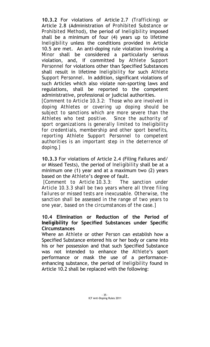**10.3.2** For violations of Article 2.7 (*Trafficking*) or Article 2.8 (Administration of *Prohibited Substance* or *Prohibited Method*), the period of *Ineligibility* imposed shall be a minimum of four (4) years up to lifetime *Ineligibility* unless the conditions provided in Article 10.5 are met. An anti-doping rule violation involving a *Minor* shall be considered a particularly serious violation, and, if committed by *Athlete Support Personnel* for violations other than Specified Substances shall result in lifetime *Ineligibility* for such *Athlete Support Personnel*. In addition, significant violations of such Articles which also violate non-sporting laws and regulations, shall be reported to the competent administrative, professional or judicial authorities.

*[Comment to Article 10.3.2: Those who are involved in doping Athletes or covering up doping should be subject to sanctions which are more severe than the Athletes who test positive. Since the authority of sport organizations is generally limited to Ineligibility for credentials, membership and other sport benefits, reporting Athlete Support Personnel to competent authorities is an important step in the deterrence of doping.]* 

**10.3.3** For violations of Article 2.4 (Filing Failures and/ or Missed Tests), the period of *Ineligibility* shall be at a minimum one (1) year and at a maximum two (2) years based on the *Athlete*'s degree of fault.

 *[Comment to Article 10.3.3: The sanction under Article 10.3.3 shall be two years where all three filing failures or missed tests are inexcusable. Otherwise, the sanction shall be assessed in the range of two years to one year, based on the circumstances of the case.]* 

#### **10.4 Elimination or Reduction of the Period of**  *Ineligibility* **for Specified Substances under Specific Circumstances**

Where an *Athlete* or other *Person* can establish how a Specified Substance entered his or her body or came into his or her possession and that such Specified Substance was not intended to enhance the *Athlete*'s sport performance or mask the use of a performanceenhancing substance, the period of *Ineligibility* found in Article 10.2 shall be replaced with the following: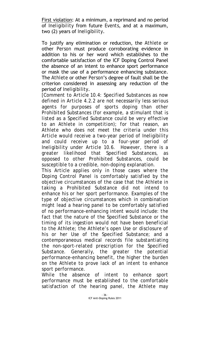First violation: At a minimum, a reprimand and no period of *Ineligibility* from future *Events*, and at a maximum, two (2) years of *Ineligibility*.

To justify any elimination or reduction, the *Athlete* or other *Person* must produce corroborating evidence in addition to his or her word which establishes to the comfortable satisfaction of the ICF Doping Control Panel the absence of an intent to enhance sport performance or mask the use of a performance enhancing substance. The *Athlete* or other *Person*'s degree of fault shall be the criterion considered in assessing any reduction of the period of *Ineligibility*.

*[Comment to Article 10.4: Specified Substances as now defined in Article 4.2.2 are not necessarily less serious agents for purposes of sports doping than other Prohibited Substances (for example, a stimulant that is listed as a Specified Substance could be very effective to an Athlete in competition); for that reason, an Athlete who does not meet the criteria under this Article would receive a two-year period of Ineligibility and could receive up to a four-year period of Ineligibility under Article 10.6. However, there is a greater likelihood that Specified Substances, as opposed to other Prohibited Substances, could be susceptible to a credible, non-doping explanation.* 

*This Article applies only in those cases where the Doping Control Panel is comfortably satisfied by the objective circumstances of the case that the Athlete in taking a Prohibited Substance did not intend to enhance his or her sport performance. Examples of the type of objective circumstances which in combination might lead a hearing panel to be comfortably satisfied of no performance-enhancing intent would include: the fact that the nature of the Specified Substance or the timing of its ingestion would not have been beneficial to the Athlete; the Athlete's open Use or disclosure of his or her Use of the Specified Substance; and a contemporaneous medical records file substantiating the non-sport-related prescription for the Specified Substance. Generally, the greater the potential performance-enhancing benefit, the higher the burden on the Athlete to prove lack of an intent to enhance sport performance.* 

*While the absence of intent to enhance sport performance must be established to the comfortable satisfaction of the hearing panel, the Athlete may*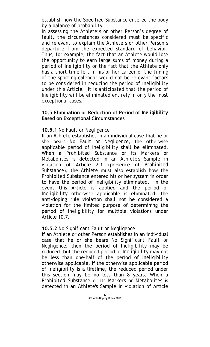*establish how the Specified Substance entered the body by a balance of probability.* 

*In assessing the Athlete's or other Person's degree of fault, the circumstances considered must be specific and relevant to explain the Athlete's or other Person's departure from the expected standard of behavior. Thus, for example, the fact that an Athlete would lose the opportunity to earn large sums of money during a period of Ineligibility or the fact that the Athlete only has a short time left in his or her career or the timing of the sporting calendar would not be relevant factors to be considered in reducing the period of Ineligibility under this Article. It is anticipated that the period of Ineligibility will be eliminated entirely in only the most exceptional cases.]* 

## **10.5 Elimination or Reduction of Period of** *Ineligibility* **Based on Exceptional Circumstances**

## **10.5.1** *No Fault or Negligence*

If an *Athlete* establishes in an individual case that he or she bears *No Fault or Negligence*, the otherwise applicable period of *Ineligibility* shall be eliminated. When a *Prohibited Substance* or its *Markers* or *Metabolites* is detected in an *Athlete's Sample* in violation of Article 2.1 (presence of *Prohibited Substance*), the *Athlete* must also establish how the *Prohibited Substance* entered his or her system in order to have the period of *Ineligibility* eliminated. In the event this Article is applied and the period of *Ineligibility* otherwise applicable is eliminated, the anti-doping rule violation shall not be considered a violation for the limited purpose of determining the period of *Ineligibility* for multiple violations under Article 10.7.

## **10.5.2** *No Significant Fault or Negligence*

If an *Athlete* or other *Person* establishes in an individual case that he or she bears *No Significant Fault or Negligence,* then the period of *Ineligibility* may be reduced, but the reduced period of *Ineligibility* may not be less than one-half of the period of *Ineligibility* otherwise applicable. If the otherwise applicable period of *Ineligibility* is a lifetime, the reduced period under this section may be no less than 8 years. When a *Prohibited Substance* or its *Markers* or *Metabolites* is detected in an *Athlete's Sample* in violation of Article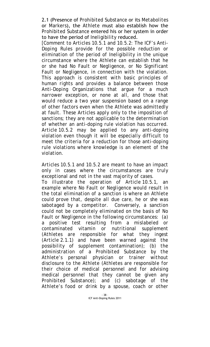2.1 (Presence of *Prohibited Substance* or its *Metabolites*  or *Markers*), the *Athlete* must also establish how the *Prohibited Substance* entered his or her system in order to have the period of *Ineligibility* reduced.

*[Comment to Articles 10.5.1 and 10.5.2: The ICF's Anti-Doping Rules provide for the possible reduction or elimination of the period of Ineligibility in the unique circumstance where the Athlete can establish that he or she had No Fault or Negligence, or No Significant Fault or Negligence, in connection with the violation. This approach is consistent with basic principles of human rights and provides a balance between those Anti-Doping Organizations that argue for a much narrower exception, or none at all, and those that would reduce a two year suspension based on a range of other factors even when the Athlete was admittedly at fault. These Articles apply only to the imposition of sanctions; they are not applicable to the determination of whether an anti-doping rule violation has occurred. Article 10.5.2 may be applied to any anti-doping violation even though it will be especially difficult to meet the criteria for a reduction for those anti-doping rule violations where knowledge is an element of the violation.* 

*Articles 10.5.1 and 10.5.2 are meant to have an impact only in cases where the circumstances are truly exceptional and not in the vast majority of cases.* 

*To illustrate the operation of Article 10.5.1, an example where No Fault or Negligence would result in the total elimination of a sanction is where an Athlete could prove that, despite all due care, he or she was sabotaged by a competitor. Conversely, a sanction could not be completely eliminated on the basis of No Fault or Negligence in the following circumstances: (a) a positive test resulting from a mislabeled or contaminated vitamin or nutritional supplement (Athletes are responsible for what they ingest (Article 2.1.1) and have been warned against the possibility of supplement contamination); (b) the administration of a Prohibited Substance by the Athlete's personal physician or trainer without disclosure to the Athlete (Athletes are responsible for their choice of medical personnel and for advising medical personnel that they cannot be given any Prohibited Substance); and (c) sabotage of the Athlete's food or drink by a spouse, coach or other*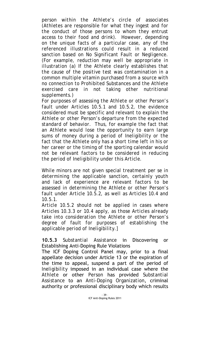*person within the Athlete's circle of associates (Athletes are responsible for what they ingest and for the conduct of those persons to whom they entrust access to their food and drink). However, depending on the unique facts of a particular case, any of the referenced illustrations could result in a reduced sanction based on No Significant Fault or Negligence. (For example, reduction may well be appropriate in illustration (a) If the Athlete clearly establishes that the cause of the positive test was contamination in a common multiple vitamin purchased from a source with no connection to Prohibited Substances and the Athlete exercised care in not taking other nutritional supplements.)* 

*For purposes of assessing the Athlete or other Person's fault under Articles 10.5.1 and 10.5.2, the evidence considered must be specific and relevant to explain the Athlete or other Person's departure from the expected standard of behavior. Thus, for example the fact that an Athlete would lose the opportunity to earn large sums of money during a period of Ineligibility or the fact that the Athlete only has a short time left in his or her career or the timing of the sporting calendar would not be relevant factors to be considered in reducing the period of Ineligibility under this Article.* 

*While minors are not given special treatment per se in determining the applicable sanction, certainly youth and lack of experience are relevant factors to be assessed in determining the Athlete or other Person's fault under Article 10.5.2, as well as Articles 10.4 and 10.5.1.* 

*Article 10.5.2 should not be applied in cases where Articles 10.3.3 or 10.4 apply, as those Articles already take into consideration the Athlete or other Person's degree of fault for purposes of establishing the applicable period of Ineligibility.]* 

**10.5.3** *Substantial Assistance* in Discovering or Establishing Anti-Doping Rule Violations

The ICF Doping Control Panel may, prior to a final appellate decision under Article 13 or the expiration of the time to appeal, suspend a part of the period of *Ineligibility* imposed in an individual case where the *Athlete* or other *Person* has provided *Substantial Assistance* to an *Anti-Doping Organization*, criminal authority or professional disciplinary body which results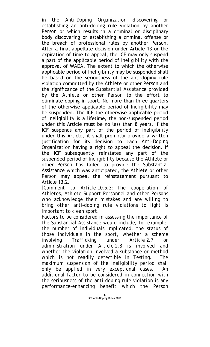in the *Anti-Doping Organization* discovering or establishing an anti-doping rule violation by another *Person* or which results in a criminal or disciplinary body discovering or establishing a criminal offense or the breach of professional rules by another *Person*. After a final appellate decision under Article 13 or the expiration of time to appeal, the ICF may only suspend a part of the applicable period of *Ineligibility* with the approval of *WADA*. The extent to which the otherwise applicable period of *Ineligibility* may be suspended shall be based on the seriousness of the anti-doping rule violation committed by the *Athlete* or other *Person* and the significance of the *Substantial Assistance* provided by the *Athlete* or other *Person* to the effort to eliminate doping in sport. No more than three-quarters of the otherwise applicable period of *Ineligibility* may be suspended. The ICF the otherwise applicable period of *Ineligibility* is a lifetime, the non-suspended period under this Article must be no less than 8 years. If the ICF suspends any part of the period of *Ineligibility* under this Article, it shall promptly provide a written justification for its decision to each *Anti-Doping Organization* having a right to appeal the decision. If the ICF subsequently reinstates any part of the suspended period of *Ineligibility* because the *Athlete* or other *Person* has failed to provide the *Substantial Assistance* which was anticipated, the *Athlete* or other *Person* may appeal the reinstatement pursuant to Article 13.2.

*[Comment to Article 10.5.3: The cooperation of Athletes, Athlete Support Personnel and other Persons who acknowledge their mistakes and are willing to bring other anti-doping rule violations to light is important to clean sport.* 

*Factors to be considered in assessing the importance of the Substantial Assistance would include, for example, the number of individuals implicated, the status of those individuals in the sport, whether a scheme involving Trafficking under Article 2.7 or administration under Article 2.8 is involved and whether the violation involved a substance or method which is not readily detectible in Testing. The maximum suspension of the Ineligibility period shall only be applied in very exceptional cases. An additional factor to be considered in connection with the seriousness of the anti-doping rule violation is any performance-enhancing benefit which the Person*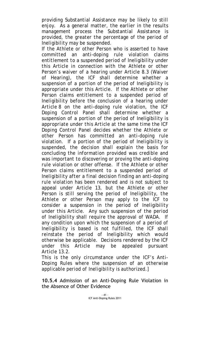*providing Substantial Assistance may be likely to still enjoy. As a general matter, the earlier in the results management process the Substantial Assistance is provided, the greater the percentage of the period of Ineligibility may be suspended.* 

*If the Athlete or other Person who is asserted to have committed an anti-doping rule violation claims entitlement to a suspended period of Ineligibility under this Article in connection with the Athlete or other Person's waiver of a hearing under Article 8.3 (Waiver of Hearing), the ICF shall determine whether a suspension of a portion of the period of Ineligibility is appropriate under this Article. If the Athlete or other Person claims entitlement to a suspended period of Ineligibility before the conclusion of a hearing under Article 8 on the anti-doping rule violation, the ICF Doping Control Panel shall determine whether a suspension of a portion of the period of Ineligibility is appropriate under this Article at the same time the ICF Doping Control Panel decides whether the Athlete or other Person has committed an anti-doping rule violation. If a portion of the period of Ineligibility is suspended, the decision shall explain the basis for concluding the information provided was credible and was important to discovering or proving the anti-doping rule violation or other offense. If the Athlete or other Person claims entitlement to a suspended period of Ineligibility after a final decision finding an anti-doping rule violation has been rendered and is not subject to appeal under Article 13, but the Athlete or other Person is still serving the period of Ineligibility, the Athlete or other Person may apply to the ICF to consider a suspension in the period of Ineligibility under this Article. Any such suspension of the period of Ineligibility shall require the approval of WADA. If any condition upon which the suspension of a period of Ineligibility is based is not fulfilled, the ICF shall reinstate the period of Ineligibility which would otherwise be applicable. Decisions rendered by the ICF under this Article may be appealed pursuant Article 13.2.* 

*This is the only circumstance under the ICF's Anti-Doping Rules where the suspension of an otherwise applicable period of Ineligibility is authorized.]* 

**10.5.4** Admission of an Anti-Doping Rule Violation in the Absence of Other Evidence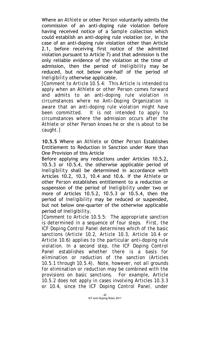Where an *Athlete* or other *Person* voluntarily admits the commission of an anti-doping rule violation before having received notice of a *Sample* collection which could establish an anti-doping rule violation (or, in the case of an anti-doping rule violation other than Article 2.1, before receiving first notice of the admitted violation pursuant to Article 7) and that admission is the only reliable evidence of the violation at the time of admission, then the period of *Ineligibility* may be reduced, but not below one-half of the period of *Ineligibility* otherwise applicable.

*[Comment to Article 10.5.4: This Article is intended to apply when an Athlete or other Person comes forward and admits to an anti-doping rule violation in circumstances where no Anti-Doping Organization is aware that an anti-doping rule violation might have been committed. It is not intended to apply to circumstances where the admission occurs after the Athlete or other Person knows he or she is about to be caught.]* 

**10.5.5** Where an *Athlete* or Other *Person* Establishes Entitlement to Reduction in Sanction under More than One Provision of this Article

Before applying any reductions under Articles 10.5.2, 10.5.3 or 10.5.4, the otherwise applicable period of *Ineligibility* shall be determined in accordance with Articles 10.2, 10.3, 10.4 and 10.6. If the *Athlete* or other *Person* establishes entitlement to a reduction or suspension of the period of *Ineligibility* under two or more of Articles 10.5.2, 10.5.3 or 10.5.4, then the period of *Ineligibility* may be reduced or suspended, but not below one-quarter of the otherwise applicable period of *Ineligibility*.

*[Comment to Article 10.5.5: The appropriate sanction is determined in a sequence of four steps. First, the ICF Doping Control Panel determines which of the basic sanctions (Article 10.2, Article 10.3, Article 10.4 or Article 10.6) applies to the particular anti-doping rule violation. In a second step, the ICF Doping Control Panel establishes whether there is a basis for elimination or reduction of the sanction (Articles 10.5.1 through 10.5.4). Note, however, not all grounds for elimination or reduction may be combined with the provisions on basic sanctions. For example, Article 10.5.2 does not apply in cases involving Articles 10.3.3 or 10.4, since the ICF Doping Control Panel, under*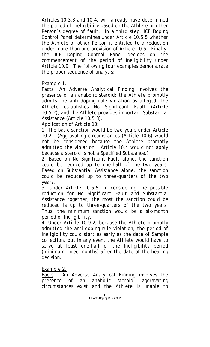*Articles 10.3.3 and 10.4, will already have determined the period of Ineligibility based on the Athlete or other Person's degree of fault. In a third step, ICF Doping Control Panel determines under Article 10.5.5 whether the Athlete or other Person is entitled to a reduction under more than one provision of Article 10.5. Finally, the ICF Doping Control Panel decides on the commencement of the period of Ineligibility under Article 10.9. The following four examples demonstrate the proper sequence of analysis:* 

# *Example 1.*

*Facts: An Adverse Analytical Finding involves the presence of an anabolic steroid; the Athlete promptly admits the anti-doping rule violation as alleged; the Athlete establishes No Significant Fault (Article 10.5.2); and the Athlete provides important Substantial Assistance (Article 10.5.3).* 

*Application of Article 10:*

*1. The basic sanction would be two years under Article 10.2. (Aggravating circumstances (Article 10.6) would not be considered because the Athlete promptly admitted the violation. Article 10.4 would not apply because a steroid is not a Specified Substance.)* 

*2. Based on No Significant Fault alone, the sanction could be reduced up to one-half of the two years. Based on Substantial Assistance alone, the sanction could be reduced up to three-quarters of the two years.* 

*3. Under Article 10.5.5, in considering the possible reduction for No Significant Fault and Substantial Assistance together, the most the sanction could be reduced is up to three-quarters of the two years. Thus, the minimum sanction would be a six-month period of Ineligibility.* 

*4. Under Article 10.9.2, because the Athlete promptly admitted the anti-doping rule violation, the period of Ineligibility could start as early as the date of Sample collection, but in any event the Athlete would have to serve at least one-half of the Ineligibility period (minimum three months) after the date of the hearing decision.* 

## *Example 2.*

*Facts: An Adverse Analytical Finding involves the presence of an anabolic steroid; aggravating circumstances exist and the Athlete is unable to*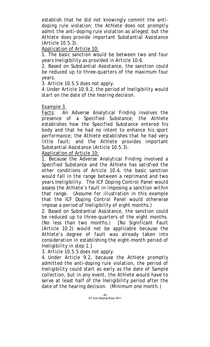*establish that he did not knowingly commit the antidoping rule violation; the Athlete does not promptly admit the anti-doping rule violation as alleged; but the Athlete does provide important Substantial Assistance (Article 10.5.3).* 

*Application of Article 10:*

*1. The basic sanction would be between two and four years Ineligibility as provided in Article 10.6.* 

*2. Based on Substantial Assistance, the sanction could be reduced up to three-quarters of the maximum four years.* 

*3. Article 10.5.5 does not apply.* 

*4. Under Article 10.9.2, the period of Ineligibility would start on the date of the hearing decision.* 

*Example 3.*

*Facts: An Adverse Analytical Finding involves the presence of a Specified Substance; the Athlete establishes how the Specified Substance entered his body and that he had no intent to enhance his sport performance; the Athlete establishes that he had very little fault; and the Athlete provides important Substantial Assistance (Article 10.5.3).* 

*Application of Article 10:*

*1. Because the Adverse Analytical Finding involved a Specified Substance and the Athlete has satisfied the other conditions of Article 10.4, the basic sanction would fall in the range between a reprimand and two years Ineligibility. The ICF Doping Control Panel would assess the Athlete's fault in imposing a sanction within that range. (Assume for illustration in this example that the ICF Doping Control Panel would otherwise impose a period of Ineligibility of eight months.)* 

*2. Based on Substantial Assistance, the sanction could be reduced up to three-quarters of the eight months. (No less than two months.) [No Significant Fault (Article 10.2) would not be applicable because the Athlete's degree of fault was already taken into consideration in establishing the eight-month period of Ineligibility in step 1.]* 

*3. Article 10.5.5 does not apply.* 

*4. Under Article 9.2, because the Athlete promptly admitted the anti-doping rule violation, the period of Ineligibility could start as early as the date of Sample collection, but in any event, the Athlete would have to serve at least half of the Ineligibility period after the date of the hearing decision. (Minimum one month.)*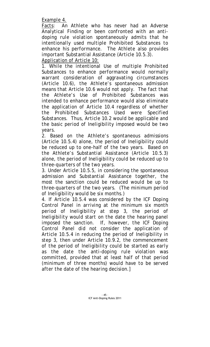*Example 4.*

*Facts: An Athlete who has never had an Adverse Analytical Finding or been confronted with an antidoping rule violation spontaneously admits that he intentionally used multiple Prohibited Substances to enhance his performance. The Athlete also provides important Substantial Assistance (Article 10.5.3). Application of Article 10:*

*1. While the intentional Use of multiple Prohibited Substances to enhance performance would normally warrant consideration of aggravating circumstances (Article 10.6), the Athlete's spontaneous admission means that Article 10.6 would not apply. The fact that the Athlete's Use of Prohibited Substances was intended to enhance performance would also eliminate the application of Article 10.4 regardless of whether the Prohibited Substances Used were Specified Substances. Thus, Article 10.2 would be applicable and the basic period of Ineligibility imposed would be two years.* 

*2. Based on the Athlete's spontaneous admissions (Article 10.5.4) alone, the period of Ineligibility could be reduced up to one-half of the two years. Based on the Athlete's Substantial Assistance (Article 10.5.3) alone, the period of Ineligibility could be reduced up to three-quarters of the two years.* 

*3. Under Article 10.5.5, in considering the spontaneous admission and Substantial Assistance together, the most the sanction could be reduced would be up to three-quarters of the two years. (The minimum period of Ineligibility would be six months.)* 

*4. If Article 10.5.4 was considered by the ICF Doping Control Panel in arriving at the minimum six month period of Ineligibility at step 3, the period of Ineligibility would start on the date the hearing panel imposed the sanction. If, however, the ICF Doping Control Panel did not consider the application of Article 10.5.4 in reducing the period of Ineligibility in step 3, then under Article 10.9.2, the commencement of the period of Ineligibility could be started as early as the date the anti-doping rule violation was committed, provided that at least half of that period (minimum of three months) would have to be served after the date of the hearing decision.]*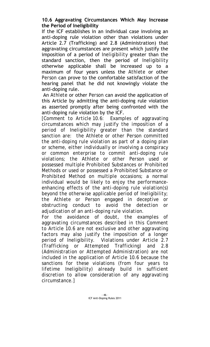# **10.6 Aggravating Circumstances Which May Increase the Period of Ineligibility**

If the ICF establishes in an individual case involving an anti-doping rule violation other than violations under Article 2.7 (Trafficking) and 2.8 (Administration) that aggravating circumstances are present which justify the imposition of a period of *Ineligibility* greater than the standard sanction, then the period of *Ineligibility* otherwise applicable shall be increased up to a maximum of four years unless the *Athlete* or other *Person* can prove to the comfortable satisfaction of the hearing panel that he did not knowingly violate the anti-doping rule.

 An *Athlete* or other *Person* can avoid the application of this Article by admitting the anti-doping rule violation as asserted promptly after being confronted with the anti-doping rule violation by the ICF.

*[Comment to Article 10.6: Examples of aggravating circumstances which may justify the imposition of a period of Ineligibility greater than the standard sanction are: the Athlete or other Person committed the anti-doping rule violation as part of a doping plan or scheme, either individually or involving a conspiracy or common enterprise to commit anti-doping rule violations; the Athlete or other Person used or possessed multiple Prohibited Substances or Prohibited Methods or used or possessed a Prohibited Substance or Prohibited Method on multiple occasions; a normal individual would be likely to enjoy the performanceenhancing effects of the anti-doping rule violation(s) beyond the otherwise applicable period of Ineligibility; the Athlete or Person engaged in deceptive or obstructing conduct to avoid the detection or adjudication of an anti-doping rule violation.* 

*For the avoidance of doubt, the examples of aggravating circumstances described in this Comment to Article 10.6 are not exclusive and other aggravating factors may also justify the imposition of a longer period of Ineligibility. Violations under Article 2.7 (Trafficking or Attempted Trafficking) and 2.8 (Administration or Attempted Administration) are not included in the application of Article 10.6 because the sanctions for these violations (from four years to lifetime Ineligibility) already build in sufficient discretion to allow consideration of any aggravating circumstance.]*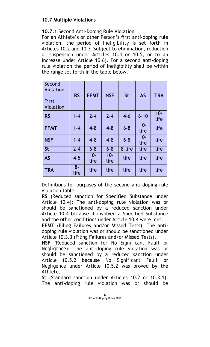# **10.7 Multiple Violations**

# **10.7.1** Second Anti-Doping Rule Violation

For an *Athlete's* or other *Person*'s first anti-doping rule violation, the period of *Ineligibility* is set forth in Articles 10.2 and 10.3 (subject to elimination, reduction or suspension under Articles 10.4 or 10.5, or to an increase under Article 10.6). For a second anti-doping rule violation the period of Ineligibility shall be within the range set forth in the table below.

| Second<br>Violation<br><b>First</b><br><b>Violation</b> | <b>RS</b>    | <b>FFMT</b>    | <b>NSF</b>     | <b>St</b> | <b>AS</b>      | <b>TRA</b>     |
|---------------------------------------------------------|--------------|----------------|----------------|-----------|----------------|----------------|
| <b>RS</b>                                               | $1 - 4$      | $2 - 4$        | $2 - 4$        | $4 - 6$   | $8 - 10$       | $10 -$<br>life |
| <b>FFMT</b>                                             | $1 - 4$      | $4 - 8$        | $4 - 8$        | $6 - 8$   | $10 -$<br>life | life           |
| <b>NSF</b>                                              | $1 - 4$      | $4 - 8$        | $4 - 8$        | $6 - 8$   | $10 -$<br>life | life           |
| <b>St</b>                                               | $2 - 4$      | $6 - 8$        | $6 - 8$        | 8-life    | life           | life           |
| <b>AS</b>                                               | $4 - 5$      | $10 -$<br>life | $10 -$<br>life | life      | life           | life           |
| <b>TRA</b>                                              | $8-$<br>life | life           | life           | life      | life           | life           |

Definitions for purposes of the second anti-doping rule violation table:

**RS** (Reduced sanction for Specified Substance under Article 10.4): The anti-doping rule violation was or should be sanctioned by a reduced sanction under Article 10.4 because it involved a Specified Substance and the other conditions under Article 10.4 were met.

**FFMT** (Filing Failures and/or Missed Tests): The antidoping rule violation was or should be sanctioned under Article 10.3.3 (Filing Failures and/or Missed Tests).

**NSF** (Reduced sanction for *No Significant Fault* or *Negligence*): The anti-doping rule violation was or should be sanctioned by a reduced sanction under Article 10.5.2 because *No Significant Fault* or *Negligence* under Article 10.5.2 was proved by the *Athlete*.

**St** (Standard sanction under Articles 10.2 or 10.3.1): The anti-doping rule violation was or should be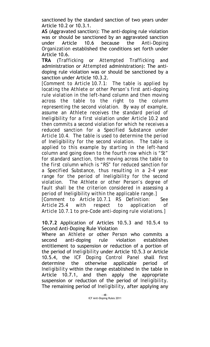sanctioned by the standard sanction of two years under Article 10.2 or 10.3.1.

**AS** (Aggravated sanction): The anti-doping rule violation was or should be sanctioned by an aggravated sanction under Article 10.6 because the *Anti-Doping Organization* established the conditions set forth under Article 10.6.

**TRA** (*Trafficking* or *Attempted Trafficking* and administration or *Attempted* administration): The antidoping rule violation was or should be sanctioned by a sanction under Article 10.3.2.

*[Comment to Article 10.7.1: The table is applied by locating the Athlete or other Person's first anti-doping rule violation in the left-hand column and then moving across the table to the right to the column representing the second violation. By way of example, assume an Athlete receives the standard period of Ineligibility for a first violation under Article 10.2 and then commits a second violation for which he receives a reduced sanction for a Specified Substance under Article 10.4. The table is used to determine the period of Ineligibility for the second violation. The table is applied to this example by starting in the left-hand column and going down to the fourth row which is "St" for standard sanction, then moving across the table to the first column which is "RS" for reduced sanction for a Specified Substance, thus resulting in a 2-4 year range for the period of Ineligibility for the second violation. The Athlete or other Person's degree of fault shall be the criterion considered in assessing a period of Ineligibility within the applicable range.] [Comment to Article 10.7.1 RS Definition: See Article 25.4 with respect to application of* 

*Article 10.7.1 to pre-Code anti-doping rule violations.]* 

**10.7.2** Application of Articles 10.5.3 and 10.5.4 to Second Anti-Doping Rule Violation

Where an *Athlete* or other *Person* who commits a second anti-doping rule violation establishes entitlement to suspension or reduction of a portion of the period of *Ineligibility* under Article 10.5.3 or Article 10.5.4, the *ICF Doping Control Panel* shall first determine the otherwise applicable period of *Ineligibility* within the range established in the table in Article 10.7.1, and then apply the appropriate suspension or reduction of the period of *Ineligibility*. The remaining period of *Ineligibility*, after applying any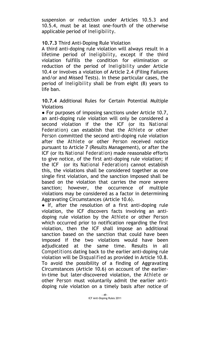suspension or reduction under Articles 10.5.3 and 10.5.4, must be at least one-fourth of the otherwise applicable period of *Ineligibility*.

## **10.7.3** Third Anti-Doping Rule Violation

A third anti-doping rule violation will always result in a lifetime period of *Ineligibility*, except if the third violation fulfills the condition for elimination or reduction of the period of *Ineligibility* under Article 10.4 or involves a violation of Article 2.4 (Filing Failures and/or and Missed Tests). In these particular cases, the period of *Ineligibility* shall be from eight (8) years to life ban.

**10.7.4** Additional Rules for Certain Potential Multiple Violations

**●** For purposes of imposing sanctions under Article 10.7, an anti-doping rule violation will only be considered a second violation if the the ICF (or its *National Federation*) can establish that the *Athlete* or other *Person* committed the second anti-doping rule violation after the *Athlete* or other *Person* received notice pursuant to Article 7 (Results Management), or after the ICF (or its *National Federation*) made reasonable efforts to give notice, of the first anti-doping rule violation; if the ICF (or its *National Federation*) cannot establish this, the violations shall be considered together as one single first violation, and the sanction imposed shall be based on the violation that carries the more severe sanction; however, the occurrence of multiple violations may be considered as a factor in determining Aggravating Circumstances (Article 10.6).

● If, after the resolution of a first anti-doping rule violation, the ICF discovers facts involving an antidoping rule violation by the *Athlete* or other *Person* which occurred prior to notification regarding the first violation, then the ICF shall impose an additional sanction based on the sanction that could have been imposed if the two violations would have been adjudicated at the same time. Results in all *Competitions* dating back to the earlier anti-doping rule violation will be *Disqualified* as provided in Article 10.8. To avoid the possibility of a finding of Aggravating Circumstances (Article 10.6) on account of the earlierin-time but later-discovered violation, the *Athlete* or other *Person* must voluntarily admit the earlier antidoping rule violation on a timely basis after notice of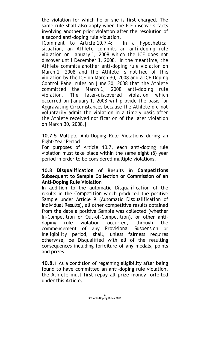the violation for which he or she is first charged. The same rule shall also apply when the ICF discovers facts involving another prior violation after the resolution of a second anti-doping rule violation.

*[Comment to Article 10.7.4: In a hypothetical situation, an Athlete commits an anti-doping rule violation on January 1, 2008 which the ICF does not discover until December 1, 2008. In the meantime, the Athlete commits another anti-doping rule violation on March 1, 2008 and the Athlete is notified of this violation by the ICF on March 30, 2008 and a ICF Doping Control Panel rules on June 30, 2008 that the Athlete committed the March 1, 2008 anti-doping rule violation. The later-discovered violation which occurred on January 1, 2008 will provide the basis for Aggravating Circumstances because the Athlete did not voluntarily admit the violation in a timely basis after the Athlete received notification of the later violation on March 30, 2008.]* 

**10.7.5** Multiple Anti-Doping Rule Violations during an Eight-Year Period

For purposes of Article 10.7, each anti-doping rule violation must take place within the same eight (8) year period in order to be considered multiple violations.

## **10.8** *Disqualification* **of Results in** *Competitions* **Subsequent to** *Sample* **Collection or Commission of an Anti-Doping Rule Violation**

In addition to the automatic *Disqualification* of the results in the *Competition* which produced the positive *Sample* under Article 9 (Automatic *Disqualification* of Individual Results), all other competitive results obtained from the date a positive *Sample* was collected (whether *In-Competition* or *Out-of-Competition*), or other antidoping rule violation occurred, through the commencement of any *Provisional Suspension* or *Ineligibility* period, shall, unless fairness requires otherwise, be *Disqualified* with all of the resulting consequences including forfeiture of any medals, points and prizes.

**10.8.1** As a condition of regaining eligibility after being found to have committed an anti-doping rule violation, the *Athlete* must first repay all prize money forfeited under this Article.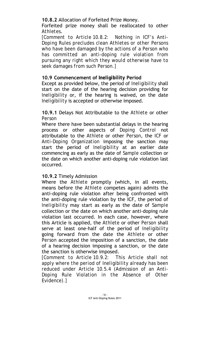# **10.8.2** Allocation of Forfeited Prize Money.

Forfeited prize money shall be reallocated to other *Athletes*.

*[Comment to Article 10.8.2: Nothing in ICF's Anti-Doping Rules precludes clean Athletes or other Persons who have been damaged by the actions of a Person who has committed an anti-doping rule violation from pursuing any right which they would otherwise have to seek damages from such Person.]* 

# **10.9 Commencement of** *Ineligibility* **Period**

Except as provided below, the period of *Ineligibility* shall start on the date of the hearing decision providing for *Ineligibility* or, if the hearing is waived, on the date *Ineligibility* is accepted or otherwise imposed.

**10.9.1** Delays Not Attributable to the *Athlete* or other *Person* 

Where there have been substantial delays in the hearing process or other aspects of *Doping Control* not attributable to the *Athlete* or other *Person*, the *ICF* or *Anti-Doping Organization* imposing the sanction may start the period of *Ineligibility* at an earlier date commencing as early as the date of *Sample* collection or the date on which another anti-doping rule violation last occurred.

## **10.9.2** Timely Admission

Where the *Athlete* promptly (which, in all events, means before the *Athlete* competes again) admits the anti-doping rule violation after being confronted with the anti-doping rule violation by the ICF, the period of *Ineligibility* may start as early as the date of *Sample* collection or the date on which another anti-doping rule violation last occurred. In each case, however, where this Article is applied, the *Athlete* or other *Person* shall serve at least one-half of the period of *Ineligibility* going forward from the date the *Athlete* or other *Person* accepted the imposition of a sanction, the date of a hearing decision imposing a sanction, or the date the sanction is otherwise imposed.

*[Comment to Article 10.9.2: This Article shall not apply where the period of Ineligibility already has been reduced under Article 10.5.4 (Admission of an Anti-Doping Rule Violation in the Absence of Other Evidence).]*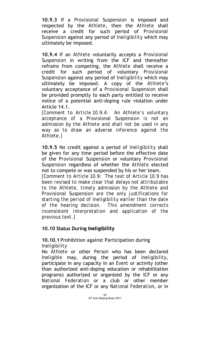**10.9.3** If a *Provisional Suspension* is imposed and respected by the *Athlete*, then the *Athlete* shall receive a credit for such period of *Provisional Suspension* against any period of *Ineligibility* which may ultimately be imposed.

**10.9.4** If an *Athlete* voluntarily accepts a *Provisional Suspension* in writing from the ICF and thereafter refrains from competing, the *Athlete* shall receive a credit for such period of voluntary *Provisional Suspension* against any period of *Ineligibility* which may ultimately be imposed. A copy of the *Athlete*'s voluntary acceptance of a *Provisional Suspension* shall be provided promptly to each party entitled to receive notice of a potential anti-doping rule violation under Article 14.1.

*[Comment to Article 10.9.4: An Athlete's voluntary acceptance of a Provisional Suspension is not an admission by the Athlete and shall not be used in any way as to draw an adverse inference against the Athlete.]* 

**10.9.5** No credit against a period of *Ineligibility* shall be given for any time period before the effective date of the *Provisional Suspension* or voluntary *Provisional Suspension* regardless of whether the *Athlete* elected not to compete or was suspended by his or her team.

*[Comment to Article 10.9: The text of Article 10.9 has been revised to make clear that delays not attributable to the Athlete, timely admission by the Athlete and Provisional Suspension are the only justifications for starting the period of Ineligibility earlier than the date of the hearing decision. This amendment corrects inconsistent interpretation and application of the previous text.]* 

## **10.10 Status During** *Ineligibility*

**10.10.1** Prohibition against Participation during *Ineligibility*

No *Athlete* or other *Person* who has been declared *Ineligible* may, during the period of *Ineligibility*, participate in any capacity in an *Event* or activity (other than authorized anti-doping education or rehabilitation programs) authorized or organized by the ICF or any *National Federation* or a club or other member organization of the ICF or any *National Federation*, or in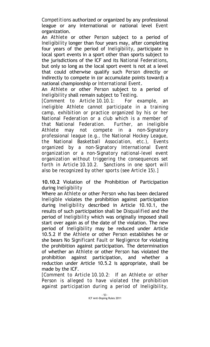*Competitions* authorized or organized by any professional league or any international or national level *Event*  organization.

An *Athlete* or other *Person* subject to a period of *Ineligibility* longer than four years may, after completing four years of the period of *Ineligibility*, participate in local sport events in a sport other than sports subject to the jurisdictions of the ICF and its *National Federations*, but only so long as the local sport event is not at a level that could otherwise qualify such *Person* directly or indirectly to compete in (or accumulate points toward) a national championship or *International Event*.

An *Athlete* or other *Person* subject to a period of *Ineligibility* shall remain subject to *Testing*.

*[Comment to Article 10.10.1: For example, an ineligible Athlete cannot participate in a training camp, exhibition or practice organized by his or her National Federation or a club which is a member of that National Federation. Further, an ineligible Athlete may not compete in a non-Signatory professional league (e.g., the National Hockey League, the National Basketball Association, etc.), Events organized by a non-Signatory International Event organization or a non-Signatory national-level event organization without triggering the consequences set forth in Article 10.10.2. Sanctions in one sport will also be recognized by other sports (see Article 15).]* 

**10.10.2** Violation of the Prohibition of Participation during *Ineligibility*

Where an *Athlete* or other *Person* who has been declared *Ineligible* violates the prohibition against participation during *Ineligibility* described in Article 10.10.1, the results of such participation shall be *Disqualified* and the period of *Ineligibility* which was originally imposed shall start over again as of the date of the violation. The new period of *Ineligibility* may be reduced under Article 10.5.2 If the *Athlete* or other *Person* establishes he or she bears *No Significant Fault or Negligence* for violating the prohibition against participation. The determination of whether an *Athlete* or other *Person* has violated the prohibition against participation, and whether a reduction under Article 10.5.2 is appropriate, shall be made by the ICF.

*[Comment to Article 10.10.2: If an Athlete or other Person is alleged to have violated the prohibition against participation during a period of Ineligibility,*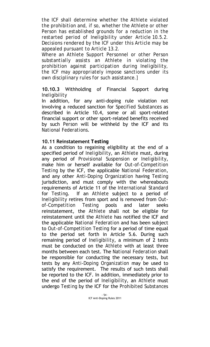*the ICF shall determine whether the Athlete violated the prohibition and, if so, whether the Athlete or other Person has established grounds for a reduction in the restarted period of Ineligibility under Article 10.5.2. Decisions rendered by the ICF under this Article may be appealed pursuant to Article 13.2.* 

*Where an Athlete Support Personnel or other Person substantially assists an Athlete in violating the prohibition against participation during Ineligibility, the ICF may appropriately impose sanctions under its own disciplinary rules for such assistance.]* 

## **10.10.3** Withholding of Financial Support during *Ineligibility*

In addition, for any anti-doping rule violation not involving a reduced sanction for *Specified Substances* as described in Article 10.4, some or all sport-related financial support or other sport-related benefits received by such *Person* will be withheld by the ICF and its *National Federations*.

# **10.11 Reinstatement** *Testing*

As a condition to regaining eligibility at the end of a specified period of *Ineligibility*, an *Athlete* must, during any period of *Provisional Suspension* or *Ineligibility*, make him or herself available for *Out-of-Competition Testing* by the ICF, the applicable *National Federation*, and any other *Anti-Doping Organization* having *Testing* jurisdiction, and must comply with the whereabouts requirements of Article 11 of the *International Standard*  for *Testing*. If an *Athlete* subject to a period of *Ineligibility* retires from sport and is removed from *Outof-Competition Testing* pools and later seeks reinstatement, the *Athlete* shall not be eligible for reinstatement until the *Athlete* has notified the ICF and the applicable *National Federation* and has been subject to *Out-of-Competition Testing* for a period of time equal to the period set forth in Article 5.6. During such remaining period of *Ineligibility*, a minimum of 2 tests must be conducted on the *Athlete* with at least three months between each test. The *National Federation* shall be responsible for conducting the necessary tests, but tests by any *Anti-Doping Organization* may be used to satisfy the requirement. The results of such tests shall be reported to the ICF. In addition, immediately prior to the end of the period of *Ineligibility*, an *Athlete* must undergo *Testing* by the ICF for the *Prohibited Substance*s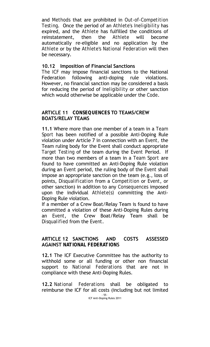and *Methods* that are prohibited in *Out-of-Competition Testing*. Once the period of an *Athlete*'s *Ineligibility* has expired, and the *Athlete* has fulfilled the conditions of reinstatement, then the *Athlete* will become automatically re-eligible and no application by the *Athlete* or by the *Athlete's National Federation* will then be necessary.

# **10.12 Imposition of Financial Sanctions**

*The ICF* may impose financial sanctions to the National Federation following anti-doping rule violations. However, no financial sanction may be considered a basis for reducing the period of *Ineligibility* or other sanction which would otherwise be applicable under the *Code*.

# **ARTICLE 11** *CONSEQUENCES* **TO TEAMS/CREW BOATS/RELAY TEAMS**

**11.1** Where more than one member of a team in a *Team Sport* has been notified of a possible Anti-Doping Rule violation under Article 7 in connection with an *Event,* the Team ruling body for the Event shall conduct appropriate *Target Testing* of the team during the *Event* Period. If more than two members of a team in a *Team Sport* are found to have committed an Anti-Doping Rule violation during an *Event* period, the ruling body of the *Event* shall impose an appropriate sanction on the team (e.g., loss of points, *Disqualification* from a *Competition* or *Event*, or other sanction) in addition to any *Consequences* imposed upon the individual *Athlete(s)* committing the Anti-Doping Rule violation.

If a member of a Crew Boat/Relay Team is found to have committed a violation of these Anti-Doping Rules during an *Event*, the Crew Boat/Relay Team shall be *Disqualified* from the *Event*.

# **ARTICLE 12 SANCTIONS AND COSTS ASSESSED AGAINST** *NATIONAL FEDERATION***S**

**12.1** The ICF Executive Committee has the authority to withhold some or all funding or other non financial support to *National Federations* that are not in compliance with these Anti-Doping Rules.

**12.2** *National Federations* shall be obligated to reimburse the ICF for all costs (including but not limited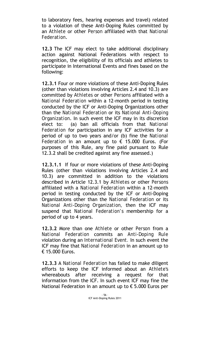to laboratory fees, hearing expenses and travel) related to a violation of these Anti-Doping Rules committed by an *Athlete* or other *Person* affiliated with that *National Federation*.

**12.3** The ICF may elect to take additional disciplinary action against National Federations with respect to recognition, the eligibility of its officials and athletes to participate in International Events and fines based on the following:

**12.3.1** Four or more violations of these Anti-Doping Rules (other than violations involving Articles 2.4 and 10.3) are committed by *Athletes* or other *Persons* affiliated with a *National Federation* within a 12-month period in testing conducted by the ICF or Anti-Doping Organizations other than the *National Federation* or its *National Anti-Doping Organization*. In such event the ICF may in its discretion elect to: (a) ban all officials from that *National Federation* for participation in any ICF activities for a period of up to two years and/or (b) fine the *National Federation* in an amount up to € 15.000 Euros. (For purposes of this Rule, any fine paid pursuant to Rule 12.3.2 shall be credited against any fine assessed.)

**12.3.1.1** If four or more violations of these Anti-Doping Rules (other than violations involving Articles 2.4 and 10.3) are committed in addition to the violations described in Article 12.3.1 by *Athletes* or other *Persons* affiliated with a *National Federation* within a 12-month period in testing conducted by the ICF or Anti-Doping Organizations other than the *National Federation* or its *National Anti-Doping Organization,* then the ICF may suspend that *National Federation's* membership for a period of up to 4 years.

**12.3.2** More than one *Athlete* or other *Person* from a *National Federation* commits an *Anti-Doping Rule* violation during an *International Event.* In such event the ICF may fine that *National Federation* in an amount up to € 15.000 Euros.

**12.3.3** A *National Federation* has failed to make diligent efforts to keep the ICF informed about an *Athlete's* whereabouts after receiving a request for that information from the ICF. In such event ICF may fine the National Federation in an amount up to € 5.000 Euros per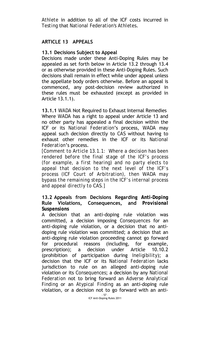*Athlete* in addition to all of the ICF costs incurred in *Testing* that *National Federation's Athletes*.

# **ARTICLE 13 APPEALS**

## **13.1 Decisions Subject to Appeal**

Decisions made under these Anti-Doping Rules may be appealed as set forth below in Article 13.2 through 13.4 or as otherwise provided in these Anti-Doping Rules. Such decisions shall remain in effect while under appeal unless the appellate body orders otherwise. Before an appeal is commenced, any post-decision review authorized in these rules must be exhausted (except as provided in Article 13.1.1).

**13.1.1** *WADA* Not Required to Exhaust Internal Remedies Where *WADA* has a right to appeal under Article 13 and no other party has appealed a final decision within the ICF or its *National Federation*'s process, *WADA* may appeal such decision directly to *CAS* without having to exhaust other remedies in the ICF or its *National Federation*'s process.

*[Comment to Article 13.1.1: Where a decision has been rendered before the final stage of the ICF's process (for example, a first hearing) and no party elects to appeal that decision to the next level of the ICF's process (ICF Court of Arbitration), then WADA may bypass the remaining steps in the ICF's internal process and appeal directly to CAS.]* 

#### **13.2 Appeals from Decisions Regarding** *Anti-Doping*  **Rule Violations, Consequences, and** *Provisional Suspensions*

A decision that an anti-doping rule violation was committed, a decision imposing *Consequences* for an anti-doping rule violation, or a decision that no antidoping rule violation was committed; a decision that an anti-doping rule violation proceeding cannot go forward for procedural reasons (including, for example, prescription); a decision under Article 10.10.2 (prohibition of participation during *Ineligibility*); a decision that the ICF or its *National Federation* lacks jurisdiction to rule on an alleged anti-doping rule violation or its *Consequences*; a decision by any *National Federation* not to bring forward an *Adverse Analytical Finding* or an *Atypical Finding* as an anti-doping rule violation, or a decision not to go forward with an anti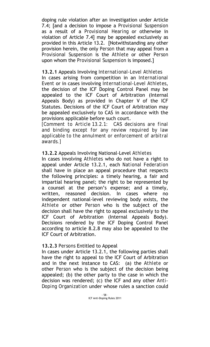doping rule violation after an investigation under Article 7.4; [and a decision to impose a *Provisional Suspension* as a result of a *Provisional Hearing* or otherwise in violation of Article 7.4] may be appealed exclusively as provided in this Article 13.2. [Notwithstanding any other provision herein, the only *Person* that may appeal from a *Provisional Suspension* is the *Athlete* or other *Person* upon whom the *Provisional Suspension* is imposed.]

### **13.2.1** Appeals Involving *International-Level Athletes*

In cases arising from competition in an *International Event* or in cases involving *International-Level Athletes*, the decision of the ICF Doping Control Panel may be appealed to the ICF Court of Arbitration (Internal Appeals Body) as provided in Chapter V of the ICF Statutes. Decisions of the ICF Court of Arbitration may be appealed exclusively to CAS in accordance with the provisions applicable before such court.

*[Comment to Article 13.2.1: CAS decisions are final and binding except for any review required by law applicable to the annulment or enforcement of arbitral awards.]* 

## **13.2.2** Appeals Involving National-Level *Athletes*

In cases involving *Athletes* who do not have a right to appeal under Article 13.2.1, each *National Federation* shall have in place an appeal procedure that respects the following principles: a timely hearing, a fair and impartial hearing panel; the right to be represented by a counsel at the person's expense; and a timely, written, reasoned decision. In cases where no independent national-level reviewing body exists, the *Athlete* or other *Person* who is the subject of the decision shall have the right to appeal exclusively to the ICF Court of Arbitration (Internal Appeals Body). Decisions rendered by the ICF Doping Control Panel according to article 8.2.8 may also be appealed to the ICF Court of Arbitration.

## **13.2.3** *Persons* Entitled to Appeal

In cases under Article 13.2.1, the following parties shall have the right to appeal to the ICF Court of Arbitration and in the next instance to CAS: (a) the *Athlete* or other *Person* who is the subject of the decision being appealed; (b) the other party to the case in which the decision was rendered; (c) the ICF and any other *Anti-Doping Organization* under whose rules a sanction could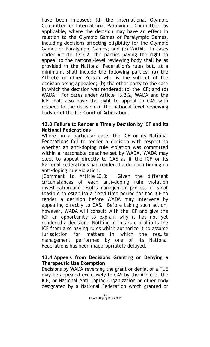have been imposed; (d) the International Olympic Committee or International Paralympic Committee, as applicable, where the decision may have an effect in relation to the Olympic Games or Paralympic Games, including decisions affecting eligibility for the Olympic Games or Paralympic Games; and (e) *WADA*. In cases under Article 13.2.2, the parties having the right to appeal to the national-level reviewing body shall be as provided in the *National Federation's* rules but, at a minimum, shall include the following parties: (a) the *Athlete* or other *Person* who is the subject of the decision being appealed; (b) the other party to the case in which the decision was rendered; (c) the ICF; and (d) *WADA*. For cases under Article 13.2.2, *WADA* and the ICF shall also have the right to appeal to CAS with respect to the decision of the national-level reviewing body or of the ICF Court of Arbitration.

## **13.3 Failure to Render a Timely Decision by ICF and its** *National Federations*

Where, in a particular case, the ICF or its *National Federations* fail to render a decision with respect to whether an anti-doping rule violation was committed within a reasonable deadline set by *WADA*, *WADA* may elect to appeal directly to *CAS* as if the ICF or its *National Federations* had rendered a decision finding no anti-doping rule violation.

*[Comment to Article 13.3: Given the different circumstances of each anti-doping rule violation investigation and results management process, it is not feasible to establish a fixed time period for the ICF to render a decision before WADA may intervene by appealing directly to CAS. Before taking such action, however, WADA will consult with the ICF and give the ICF an opportunity to explain why it has not yet rendered a decision. Nothing in this rule prohibits the ICF from also having rules which authorize it to assume jurisdiction for matters in which the results management performed by one of its National Federations has been inappropriately delayed.]* 

## **13.4 Appeals from Decisions Granting or Denying a Therapeutic Use Exemption**

Decisions by *WADA* reversing the grant or denial of a TUE may be appealed exclusively to CAS by the *Athlete*, the ICF, or *National Anti-Doping Organization* or other body designated by a *National Federation* which granted or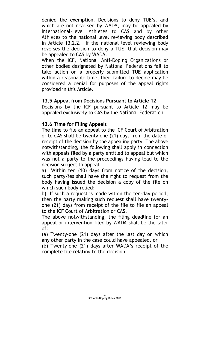denied the exemption. Decisions to deny TUE's, and which are not reversed by *WADA*, may be appealed by *International-Level Athletes* to CAS and by other *Athletes* to the national level reviewing body described in Article 13.2.2. If the national level reviewing body reverses the decision to deny a TUE, that decision may be appealed to CAS by *WADA*.

When the ICF, *National Anti-Doping Organizations* or other bodies designated by *National Federations* fail to take action on a properly submitted TUE application within a reasonable time, their failure to decide may be considered a denial for purposes of the appeal rights provided in this Article.

# **13.5 Appeal from Decisions Pursuant to Article 12**

Decisions by the ICF pursuant to Article 12 may be appealed exclusively to CAS by the *National Federation*.

# **13.6 Time for Filing Appeals**

The time to file an appeal to the ICF Court of Arbitration or to CAS shall be twenty-one (21) days from the date of receipt of the decision by the appealing party. The above notwithstanding, the following shall apply in connection with appeals filed by a party entitled to appeal but which was not a party to the proceedings having lead to the decision subject to appeal:

a) Within ten (10) days from notice of the decision, such party/ies shall have the right to request from the body having issued the decision a copy of the file on which such body relied;

b) If such a request is made within the ten-day period, then the party making such request shall have twentyone (21) days from receipt of the file to file an appeal to the ICF Court of Arbitration or CAS.

The above notwithstanding, the filing deadline for an appeal or intervention filed by *WADA* shall be the later of:

(a) Twenty-one (21) days after the last day on which any other party in the case could have appealed, or

(b) Twenty-one (21) days after *WADA*'s receipt of the complete file relating to the decision.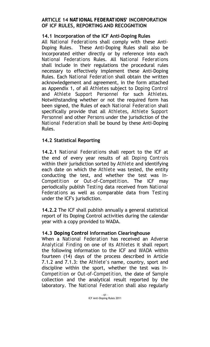# **ARTICLE 14** *NATIONAL FEDERATIONS'* **INCORPORATION OF ICF RULES, REPORTING AND RECOGNITION**

## **14.1 Incorporation of the ICF Anti-Doping Rules**

All *National Federation*s shall comply with these Anti-Doping Rules. These Anti-Doping Rules shall also be incorporated either directly or by reference into each *National Federations* Rules. All *National Federation*s shall include in their regulations the procedural rules necessary to effectively implement these Anti-Doping Rules. Each *National Federation* shall obtain the written acknowledgement and agreement, in the form attached as Appendix 1, of all *Athletes* subject to *Doping Control* and *Athlete Support Personnel* for such *Athletes*. Notwithstanding whether or not the required form has been signed, the Rules of each *National Federation* shall specifically provide that all *Athletes*, *Athlete Support Personnel* and other *Persons* under the jurisdiction of the *National Federation* shall be bound by these Anti-Doping Rules.

# **14.2 Statistical Reporting**

**14.2.1** *National Federation*s shall report to the ICF at the end of every year results of all *Doping Control*s within their jurisdiction sorted by *Athlete* and identifying each date on which the *Athlete* was tested, the entity conducting the test, and whether the test was *In-Competition* or *Out-of-Competition*. The ICF may periodically publish *Testing* data received from *National Federations* as well as comparable data from *Testing* under the ICF's jurisdiction.

**14.2.2** The ICF shall publish annually a general statistical report of its Doping Control activities during the calendar year with a copy provided to WADA.

# **14.3** *Doping Control* **Information Clearinghouse**

When a *National Federation* has received an *Adverse Analytical Finding* on one of its *Athletes* it shall report the following information to the ICF and *WADA* within fourteen (14) days of the process described in Article 7.1.2 and 7.1.3: the *Athlete's* name, country, sport and discipline within the sport, whether the test was *In-Competition* or *Out-of-Competition,* the date of *Sample*  collection and the analytical result reported by the laboratory. The *National Federation* shall also regularly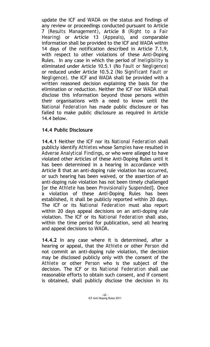update the ICF and *WADA* on the status and findings of any review or proceedings conducted pursuant to Article 7 *(Results Management)*, Article 8 *(Right to a Fair Hearing)* or Article 13 *(Appeals*), and comparable information shall be provided to the ICF and *WADA* within 14 days of the notification described in Article 7.1.9, with respect to other violations of these Anti-Doping Rules. In any case in which the period of *Ineligibility* is eliminated under Article 10.5.1 (*No Fault or Negligence)* or reduced under Article 10.5.2 *(No Significant Fault or Negligence),* the ICF and *WADA* shall be provided with a written reasoned decision explaining the basis for the elimination or reduction. Neither the ICF nor *WADA* shall disclose this information beyond those persons within their organisations with a need to know until the *National Federation* has made public disclosure or has failed to make public disclosure as required in Article 14.4 below.

# **14.4 Public Disclosure**

**14.4.1** Neither the ICF nor its *National Federation* shall publicly identify *Athletes* whose *Samples* have resulted in *Adverse Analytical Findings*, or who were alleged to have violated other Articles of these Anti-Doping Rules until it has been determined in a hearing in accordance with Article 8 that an anti-doping rule violation has occurred, or such hearing has been waived, or the assertion of an anti-doping rule violation has not been timely challenged [or the *Athlete* has been *Provisionally Suspended*]. Once a violation of these Anti-Doping Rules has been established, it shall be publicly reported within 20 days. The ICF or its *National Federation* must also report within 20 days appeal decisions on an anti-doping rule violation. The ICF or its *National Federation* shall also, within the time period for publication, send all hearing and appeal decisions to *WADA*.

**14.4.2** In any case where it is determined, after a hearing or appeal, that the *Athlete* or other *Person* did not commit an anti-doping rule violation, the decision may be disclosed publicly only with the consent of the *Athlete* or other *Person* who is the subject of the decision. The ICF or its *National Federation* shall use reasonable efforts to obtain such consent, and if consent is obtained, shall publicly disclose the decision in its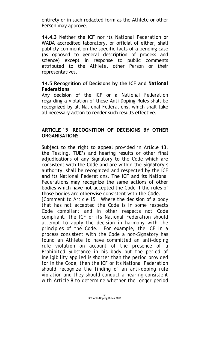entirety or in such redacted form as the *Athlete* or other *Person* may approve.

**14.4.3** Neither the ICF nor its *National Federation* or *WADA* accredited laboratory, or official of either, shall publicly comment on the specific facts of a pending case (as opposed to general description of process and science) except in response to public comments attributed to the *Athlete*, other *Person* or their representatives.

# **14.5 Recognition of Decisions by the ICF and** *National Federations*

Any decision of the ICF or a *National Federation* regarding a violation of these Anti-Doping Rules shall be recognized by all *National Federation*s, which shall take all necessary action to render such results effective.

# **ARTICLE 15 RECOGNITION OF DECISIONS BY OTHER ORGANISATIONS**

Subject to the right to appeal provided in Article 13, the *Testing*, TUE's and hearing results or other final adjudications of any *Signatory* to the *Code* which are consistent with the *Code* and are within the *Signatory's* authority, shall be recognized and respected by the ICF and its *National Federations*. The ICF and its *National Federations* may recognize the same actions of other bodies which have not accepted the *Code* if the rules of those bodies are otherwise consistent with the *Code*.

*[Comment to Article 15: Where the decision of a body that has not accepted the Code is in some respects Code compliant and in other respects not Code compliant, the ICF or its National Federation should attempt to apply the decision in harmony with the principles of the Code. For example, the ICF in a process consistent with the Code a non-Signatory has found an Athlete to have committed an anti-doping rule violation on account of the presence of a Prohibited Substance in his body but the period of Ineligibility applied is shorter than the period provided for in the Code, then the ICF or its National Federation should recognize the finding of an anti-doping rule violation and they should conduct a hearing consistent with Article 8 to determine whether the longer period*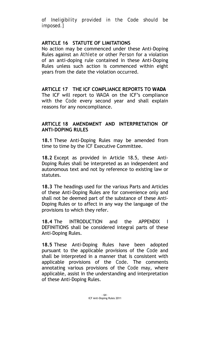*of Ineligibility provided in the Code should be imposed.]* 

# **ARTICLE 16 STATUTE OF LIMITATIONS**

No action may be commenced under these Anti-Doping Rules against an *Athlete* or other *Person* for a violation of an anti-doping rule contained in these Anti-Doping Rules unless such action is commenced within eight years from the date the violation occurred.

### **ARTICLE 17 THE ICF COMPLIANCE REPORTS TO** *WADA* The ICF will report to *WADA* on the ICF's compliance with the *Code* every second year and shall explain reasons for any noncompliance.

# **ARTICLE 18 AMENDMENT AND INTERPRETATION OF ANTI-DOPING RULES**

**18.1** These Anti-Doping Rules may be amended from time to time by the *ICF* Executive Committee.

**18.2** Except as provided in Article 18.5, these Anti-Doping Rules shall be interpreted as an independent and autonomous text and not by reference to existing law or statutes.

**18.3** The headings used for the various Parts and Articles of these Anti-Doping Rules are for convenience only and shall not be deemed part of the substance of these Anti-Doping Rules or to affect in any way the language of the provisions to which they refer.

**18.4** The INTRODUCTION and the APPENDIX I DEFINITIONS shall be considered integral parts of these Anti-Doping Rules.

**18.5** These Anti-Doping Rules have been adopted pursuant to the applicable provisions of the *Code* and shall be interpreted in a manner that is consistent with applicable provisions of the *Code*. The comments annotating various provisions of the *Code* may, where applicable, assist in the understanding and interpretation of these Anti-Doping Rules.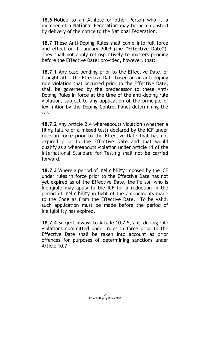**18.6** Notice to an *Athlete* or other *Person* who is a member of a *National Federation* may be accomplished by delivery of the notice to the *National Federation*.

**18.7** These Anti-Doping Rules shall come into full force and effect on 1 January 2009 (the **"Effective Date"**). They shall not apply retrospectively to matters pending before the Effective Date; provided, however, that:

**18.7.1** Any case pending prior to the Effective Date, or brought after the Effective Date based on an anti-doping rule violation that occurred prior to the Effective Date, shall be governed by the predecessor to these Anti-Doping Rules in force at the time of the anti-doping rule violation, subject to any application of the principle of lex mitior by the Doping Control Panel determining the case.

**18.7.2** Any Article 2.4 whereabouts violation (whether a filing failure or a missed test) declared by the ICF under rules in force prior to the Effective Date that has not expired prior to the Effective Date and that would qualify as a whereabouts violation under Article 11 of the *International Standard* for *Testing* shall not be carried forward.

**18.7.3** Where a period of *Ineligibility* imposed by the ICF under rules in force prior to the Effective Date has not yet expired as of the Effective Date, the *Person* who is *Ineligible* may apply to the ICF for a reduction in the period of *Ineligibility* in light of the amendments made to the *Code* as from the Effective Date. To be valid, such application must be made before the period of *Ineligibility* has expired.

**18.7.4** Subject always to Article 10.7.5, anti-doping rule violations committed under rules in force prior to the Effective Date shall be taken into account as prior offences for purposes of determining sanctions under Article 10.7.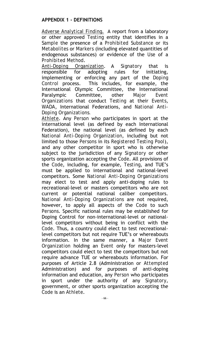# **APPENDIX 1 - DEFINITIONS**

*Adverse Analytical Finding*. A report from a laboratory or other approved *Testing* entity that identifies in a *Sample* the presence of a *Prohibited Substance* or its *Metabolites* or *Markers* (including elevated quantities of endogenous substances) or evidence of the *Use* of a *Prohibited Method*.

*Anti-Doping Organization*. A *Signatory* that is responsible for adopting rules for initiating, implementing or enforcing any part of the *Doping Control* process. This includes, for example, the International Olympic Committee, the International Paralympic Committee, other *Major Event Organizations* that conduct *Testing* at their *Events*, *WADA*, International Federations, and *National Anti-Doping Organizations.*

*Athlete*. Any *Person* who participates in sport at the international level (as defined by each International Federation), the national level (as defined by each *National Anti-Doping Organization*, including but not limited to those *Persons* in its *Registered Testing Pool*), and any other competitor in sport who is otherwise subject to the jurisdiction of any *Signatory* or other sports organization accepting the *Code*. All provisions of the *Code*, including, for example, *Testing*, and TUE's must be applied to international and national-level competitors. Some *National Anti-Doping Organizations* may elect to test and apply anti-doping rules to recreational-level or masters competitors who are not current or potential national caliber competitors. *National Anti-Doping Organizations* are not required, however, to apply all aspects of the *Code* to such *Persons*. Specific national rules may be established for Doping Control for non-international-level or nationallevel competitors without being in conflict with the *Code*. Thus, a country could elect to test recreationallevel competitors but not require TUE's or whereabouts information. In the same manner, a *Major Event Organization* holding an *Event* only for masters-level competitors could elect to test the competitors but not require advance TUE or whereabouts information. For purposes of Article 2.8 (Administration or *Attempted* Administration) and for purposes of anti-doping information and education, any *Person* who participates in sport under the authority of any *Signatory*, government, or other sports organization accepting the *Code* is an *Athlete*.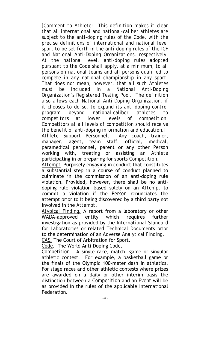*[Comment to Athlete: This definition makes it clear that all international and national-caliber athletes are subject to the anti-doping rules of the Code, with the precise definitions of international and national level sport to be set forth in the anti-doping rules of the ICF and National Anti-Doping Organizations, respectively. At the national level, anti-doping rules adopted pursuant to the Code shall apply, at a minimum, to all persons on national teams and all persons qualified to compete in any national championship in any sport. That does not mean, however, that all such Athletes must be included in a National Anti-Doping Organization's Registered Testing Pool. The definition also allows each National Anti-Doping Organization, if it chooses to do so, to expand its anti-doping control program beyond national-caliber athletes to competitors at lower levels of competition. Competitors at all levels of competition should receive the benefit of anti-doping information and education.] Athlete Support Personnel*. Any coach, trainer,

manager, agent, team staff, official, medical, paramedical personnel, parent or any other *Person* working with, treating or assisting an *Athlete* participating in or preparing for sports *Competition*.

*Attempt.* Purposely engaging in conduct that constitutes a substantial step in a course of conduct planned to culminate in the commission of an anti-doping rule violation. Provided, however, there shall be no antidoping rule violation based solely on an *Attempt* to commit a violation if the *Person* renunciates the attempt prior to it being discovered by a third party not involved in the *Attempt*.

*Atypical Finding*. A report from a laboratory or other *WADA*-approved entity which requires further investigation as provided by the *International Standard* for Laboratories or related Technical Documents prior to the determination of an *Adverse Analytical Finding*.

*CAS*. The Court of Arbitration for Sport.

*Code.* The World Anti-Doping *Code*.

*Competition.* A single race, match, game or singular athletic contest. For example, a basketball game or the finals of the Olympic 100-meter dash in athletics. For stage races and other athletic contests where prizes are awarded on a daily or other interim basis the distinction between a *Competition* and an *Event* will be as provided in the rules of the applicable International Federation.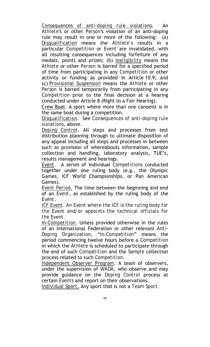*Consequences of anti-doping rule violations*. An *Athlete's* or other *Person's* violation of an anti-doping rule may result in one or more of the following: (a) *Disqualification* means the *Athlete's* results in a particular *Competition* or *Event* are invalidated, with all resulting consequences including forfeiture of any medals, points and prizes; (b) *Ineligibility* means the *Athlete* or other *Person* is barred for a specified period of time from participating in any *Competition* or other activity or funding as provided in Article 10.9; and (c) *Provisional Suspension* means the *Athlete* or other *Person* is barred temporarily from participating in any *Competition* prior to the final decision at a hearing conducted under Article 8 (Right to a Fair Hearing).

Crew Boat. A sport where more than one canoeist is in the same boat during a competition.

*Disqualification*. See *Consequences of anti-doping rule violations*, above.

*Doping Control*. All steps and processes from test distribution planning through to ultimate disposition of any appeal including all steps and processes in between such as provision of whereabouts information, sample collection and handling, laboratory analysis, TUE's, results management and hearings.

*Event.* A series of individual *Competitions* conducted together under one ruling body (e.g., the Olympic Games, ICF World Championships, or Pan American Games).

*Event Period*. The time between the beginning and end of an *Event*, as established by the ruling body of the *Event*.

*ICF Event. An Event where the ICF is the ruling body for the Event and/or appoints the technical officials for the Event.* 

*In-Competition*. Unless provided otherwise in the rules of an International Federation or other relevant *Anti-Doping Organization*, "*In-Competition*" means the period commencing twelve hours before a *Competition* in which the *Athlete* is scheduled to participate through the end of such *Competition* and the *Sample* collection process related to such *Competition*.

*Independent Observer Program*. A team of observers, under the supervision of *WADA*, who observe and may provide guidance on the *Doping Control* process at certain *Events* and report on their observations.

*Individual Sport*. Any sport that is not a *Team Sport.*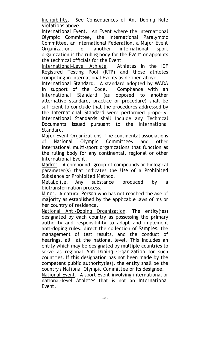*Ineligibility*. See *Consequences of Anti-Doping Rule Violations* above.

*International Event.* An *Event* where the International Olympic Committee, the International Paralympic Committee, an International Federation, a *Major Event Organization,* or another international sport organization is the ruling body for the *Event* or appoints the technical officials for the *Event.* 

*International-Level Athlete. Athletes* in the ICF Registred Testing Pool (RTP) and those athletes competing in International Events as defined above.

*International Standard.* A standard adopted by *WADA* in support of the *Code*. Compliance with an *International Standard* (as opposed to another alternative standard, practice or procedure) shall be sufficient to conclude that the procedures addressed by the *International Standard* were performed properly. *Internationa*l *Standards* shall include any Technical Documents issued pursuant to the *International Standard*.

*Major Event Organizations*. The continental associations of *National Olympic Committee*s and other international multi-sport organizations that function as the ruling body for any continental, regional or other *International Event*.

*Marker*. A compound, group of compounds or biological parameter(s) that indicates the *Use* of a *Prohibited Substance* or *Prohibited Method.* 

*Metabolite*. Any substance produced by a biotransformation process.

*Minor*. A natural *Person* who has not reached the age of majority as established by the applicable laws of his or her country of residence.

*National Anti-Doping Organization.* The entity(ies) designated by each country as possessing the primary authority and responsibility to adopt and implement anti-doping rules, direct the collection of *Samples*, the management of test results, and the conduct of hearings, all at the national level. This includes an entity which may be designated by multiple countries to serve as regional *Anti-Doping Organization* for such countries. If this designation has not been made by the competent public authority(ies), the entity shall be the country's *National Olympic Committee* or its designee.

*National Event*. A sport *Event* involving international or national-level *Athletes* that is not an *International Event*.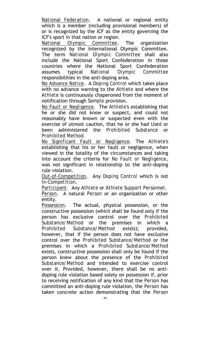*National Federation*. A national or regional entity which is a member (including provisional members) of or is recognized by the ICF as the entity governing the ICF's sport in that nation or region.

*National Olympic Committee*. The organization recognized by the International Olympic Committee. The term *National Olympic Committee* shall also include the National Sport Confederation in those countries where the National Sport Confederation assumes typical *National Olympic Committee* responsibilities in the anti-doping area.

*No Advance Notice*. A *Doping Control* which takes place with no advance warning to the *Athlete* and where the *Athlete* is continuously chaperoned from the moment of notification through *Sample* provision.

*No Fault or Negligence*. The *Athlete's* establishing that he or she did not know or suspect, and could not reasonably have known or suspected even with the exercise of utmost caution, that he or she had *Used* or been administered the *Prohibited Substance* or *Prohibited Method.* 

*No Significant Fault or Negligence*. The *Athlete's* establishing that his or her fault or negligence, when viewed in the totality of the circumstances and taking into account the criteria for *No Fault or Negligence*, was not significant in relationship to the anti-doping rule violation.

*Out-of-Competition*. Any *Doping Control* which is not *In-Competition*.

*Participant.* Any *Athlete* or *Athlete Support Personnel*.

*Person*. A natural *Person* or an organization or other entity.

*Possession*. The actual, physical possession, or the constructive possession (which shall be found only if the person has exclusive control over the *Prohibited Substance/Method* or the premises in which a *Prohibited Substance/Method* exists); provided, however, that if the person does not have exclusive control over the *Prohibited Substance/Method* or the premises in which a *Prohibited Substance/Method* exists, constructive possession shall only be found if the person knew about the presence of the *Prohibited Substance/Method* and intended to exercise control over it. Provided, however, there shall be no antidoping rule violation based solely on possession if, prior to receiving notification of any kind that the *Person* has committed an anti-doping rule violation, the *Person* has taken concrete action demonstrating that the *Person*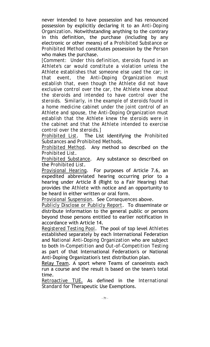never intended to have possession and has renounced possession by explicitly declaring it to an *Anti-Doping Organization*. Notwithstanding anything to the contrary in this definition, the purchase (including by any electronic or other means) of a *Prohibited Substance* or *Prohibited Method* constitutes possession by the *Person* who makes the purchase.

*[Comment: Under this definition, steroids found in an Athlete's car would constitute a violation unless the Athlete establishes that someone else used the car; in that event, the Anti-Doping Organization must establish that, even though the Athlete did not have exclusive control over the car, the Athlete knew about the steroids and intended to have control over the steroids. Similarly, in the example of steroids found in a home medicine cabinet under the joint control of an Athlete and spouse, the Anti-Doping Organization must establish that the Athlete knew the steroids were in the cabinet and that the Athlete intended to exercise control over the steroids.]* 

*Prohibited List*. The List identifying the *Prohibited Substances* and *Prohibited Methods*.

*Prohibited Method*. Any method so described on the *Prohibited List*.

*Prohibited Substance*. Any substance so described on the *Prohibited List*.

*Provisional Hearing*. For purposes of Article 7.6, an expedited abbreviated hearing occurring prior to a hearing under Article 8 (Right to a Fair Hearing) that provides the *Athlete* with notice and an opportunity to be heard in either written or oral form.

*Provisional Suspension*. See *Consequences* above.

*Publicly Disclose or Publicly Report*. To disseminate or distribute information to the general public or persons beyond those persons entitled to earlier notification in accordance with Article 14.

*Registered Testing Pool*. The pool of top level *Athletes* established separately by each International Federation and *National Anti-Doping Organization* who are subject to both *In-Competition* and *Out-of-Competition Testing* as part of that International Federation's or National Anti-Doping Organization's test distribution plan.

Relay Team. A sport where Teams of canoeinsts each run a course and the result is based on the team's total time.

*Retroactive TUE*. As defined in the *International Standard* for Therapeutic Use Exemptions.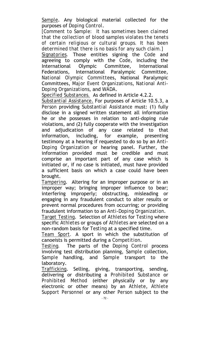*Sample*. Any biological material collected for the purposes of *Doping Control*.

*[Comment to Sample: It has sometimes been claimed that the collection of blood samples violates the tenets of certain religious or cultural groups. It has been determined that there is no basis for any such claim.]* 

*Signatories.* Those entities signing the *Code* and agreeing to comply with the *Code*, including the International Olympic Committee, International Federations, International Paralympic Committee, *National Olympic Committee*s, National Paralympic Committees, *Major Event Organizations*, *National Anti-Doping Organizations*, and *WADA*.

*Specified Substances.* As defined in Article 4.2.2.

*Substantial Assistance*. For purposes of Article 10.5.3, a *Person* providing *Substantial Assistance* must: (1) fully disclose in a signed written statement all information he or she possesses in relation to anti-doping rule violations, and (2) fully cooperate with the investigation and adjudication of any case related to that information, including, for example, presenting testimony at a hearing if requested to do so by an *Anti-Doping Organization* or hearing panel. Further, the information provided must be credible and must comprise an important part of any case which is initiated or, if no case is initiated, must have provided a sufficient basis on which a case could have been brought.

*Tampering*.Altering for an improper purpose or in an improper way; bringing improper influence to bear; interfering improperly; obstructing, misleading or engaging in any fraudulent conduct to alter results or prevent normal procedures from occurring; or providing fraudulent information to an *Anti-Doping Organization*.

*Target Testing*. Selection of *Athletes* for *Testing* where specific *Athletes* or groups of *Athletes* are selected on a non-random basis for *Testing* at a specified time.

*Team Sport.* A sport in which the substitution of canoeists is permitted during a *Competition*.

*Testing.* The parts of the *Doping Control* process involving test distribution planning, *Sample* collection, *Sample* handling, and *Sample* transport to the laboratory.

*Trafficking*. Selling, giving, transporting, sending, delivering or distributing a *Prohibited Substance* or *Prohibited Method* (either physically or by any electronic or other means) by an *Athlete*, *Athlete Support Personnel* or any other *Person* subject to the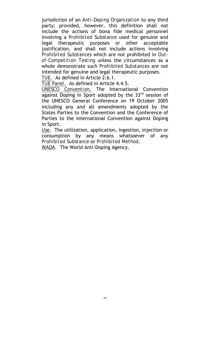jurisdiction of an *Anti-Doping Organization* to any third party; provided, however, this definition shall not include the actions of bona fide medical personnel involving a *Prohibited Substance* used for genuine and legal therapeutic purposes or other acceptable justification, and shall not include actions involving *Prohibited Substances* which are not prohibited in *Outof-Competition Testing* unless the circumstances as a whole demonstrate such *Prohibited Substances* are not intended for genuine and legal therapeutic purposes.

*TUE*. As defined in Article 2.6.1.

*TUE Panel*. As defined in Article 4.4.5.

*UNESCO Convention*. The International Convention against Doping in Sport adopted by the 33<sup>rd</sup> session of the UNESCO General Conference on 19 October 2005 including any and all amendments adopted by the States Parties to the Convention and the Conference of Parties to the International Convention against Doping in Sport.

*Use*. The utilization, application, ingestion, injection or consumption by any means whatsoever of any *Prohibited Substance* or *Prohibited Method*.

*WADA.* The World Anti-Doping Agency.